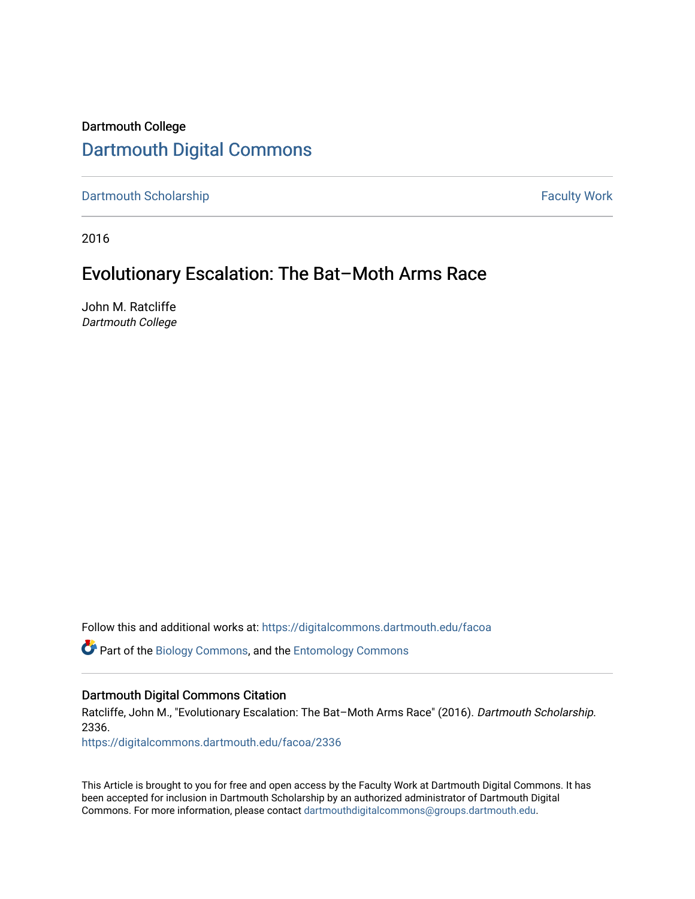# Dartmouth College [Dartmouth Digital Commons](https://digitalcommons.dartmouth.edu/)

[Dartmouth Scholarship](https://digitalcommons.dartmouth.edu/facoa) Faculty Work

2016

## Evolutionary Escalation: The Bat–Moth Arms Race

John M. Ratcliffe Dartmouth College

Follow this and additional works at: [https://digitalcommons.dartmouth.edu/facoa](https://digitalcommons.dartmouth.edu/facoa?utm_source=digitalcommons.dartmouth.edu%2Ffacoa%2F2336&utm_medium=PDF&utm_campaign=PDFCoverPages)

Part of the [Biology Commons,](http://network.bepress.com/hgg/discipline/41?utm_source=digitalcommons.dartmouth.edu%2Ffacoa%2F2336&utm_medium=PDF&utm_campaign=PDFCoverPages) and the [Entomology Commons](http://network.bepress.com/hgg/discipline/83?utm_source=digitalcommons.dartmouth.edu%2Ffacoa%2F2336&utm_medium=PDF&utm_campaign=PDFCoverPages)

## Dartmouth Digital Commons Citation

Ratcliffe, John M., "Evolutionary Escalation: The Bat–Moth Arms Race" (2016). Dartmouth Scholarship. 2336.

[https://digitalcommons.dartmouth.edu/facoa/2336](https://digitalcommons.dartmouth.edu/facoa/2336?utm_source=digitalcommons.dartmouth.edu%2Ffacoa%2F2336&utm_medium=PDF&utm_campaign=PDFCoverPages) 

This Article is brought to you for free and open access by the Faculty Work at Dartmouth Digital Commons. It has been accepted for inclusion in Dartmouth Scholarship by an authorized administrator of Dartmouth Digital Commons. For more information, please contact [dartmouthdigitalcommons@groups.dartmouth.edu](mailto:dartmouthdigitalcommons@groups.dartmouth.edu).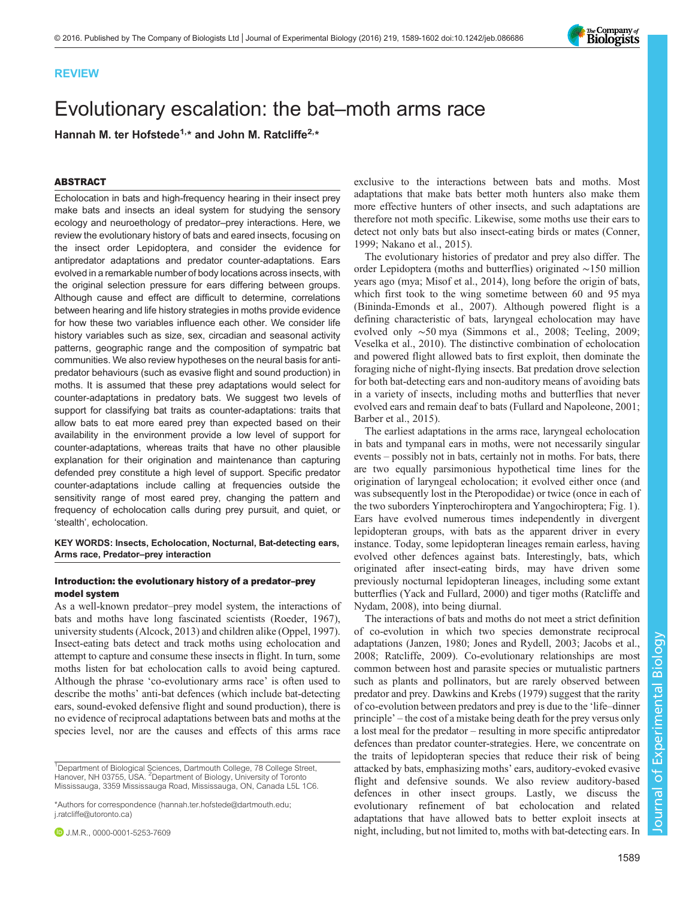## REVIEW

# Evolutionary escalation: the bat–moth arms race

Hannah M. ter Hofstede<sup>1,\*</sup> and John M. Ratcliffe<sup>2,\*</sup>

## ABSTRACT

Echolocation in bats and high-frequency hearing in their insect prey make bats and insects an ideal system for studying the sensory ecology and neuroethology of predator–prey interactions. Here, we review the evolutionary history of bats and eared insects, focusing on the insect order Lepidoptera, and consider the evidence for antipredator adaptations and predator counter-adaptations. Ears evolved in a remarkable number of body locations across insects, with the original selection pressure for ears differing between groups. Although cause and effect are difficult to determine, correlations between hearing and life history strategies in moths provide evidence for how these two variables influence each other. We consider life history variables such as size, sex, circadian and seasonal activity patterns, geographic range and the composition of sympatric bat communities. We also review hypotheses on the neural basis for antipredator behaviours (such as evasive flight and sound production) in moths. It is assumed that these prey adaptations would select for counter-adaptations in predatory bats. We suggest two levels of support for classifying bat traits as counter-adaptations: traits that allow bats to eat more eared prey than expected based on their availability in the environment provide a low level of support for counter-adaptations, whereas traits that have no other plausible explanation for their origination and maintenance than capturing defended prey constitute a high level of support. Specific predator counter-adaptations include calling at frequencies outside the sensitivity range of most eared prey, changing the pattern and frequency of echolocation calls during prey pursuit, and quiet, or 'stealth', echolocation.

KEY WORDS: Insects, Echolocation, Nocturnal, Bat-detecting ears, Arms race, Predator–prey interaction

#### Introduction: the evolutionary history of a predator–prey model system

As a well-known predator–prey model system, the interactions of bats and moths have long fascinated scientists [\(Roeder, 1967\)](#page-12-0), university students ([Alcock, 2013\)](#page-10-0) and children alike [\(Oppel, 1997\)](#page-12-0). Insect-eating bats detect and track moths using echolocation and attempt to capture and consume these insects in flight. In turn, some moths listen for bat echolocation calls to avoid being captured. Although the phrase 'co-evolutionary arms race' is often used to describe the moths' anti-bat defences (which include bat-detecting ears, sound-evoked defensive flight and sound production), there is no evidence of reciprocal adaptations between bats and moths at the species level, nor are the causes and effects of this arms race

<sup>1</sup>Department of Biological Sciences, Dartmouth College, 78 College Street,<br>Hanover, NH 03755, USA. <sup>2</sup>Department of Biology, University of Toronto Mississauga, 3359 Mississauga Road, Mississauga, ON, Canada L5L 1C6.

\*Authors for correspondence ([hannah.ter.hofstede@dartmouth.edu;](mailto:hannah.ter.hofstede@dartmouth.edu) [j.ratcliffe@utoronto.ca](mailto:j.ratcliffe@utoronto.ca))

**D** J.M.R., [0000-0001-5253-7609](http://orcid.org/0000-0001-5253-7609)

exclusive to the interactions between bats and moths. Most adaptations that make bats better moth hunters also make them more effective hunters of other insects, and such adaptations are therefore not moth specific. Likewise, some moths use their ears to detect not only bats but also insect-eating birds or mates ([Conner,](#page-11-0) [1999;](#page-11-0) [Nakano et al., 2015\)](#page-12-0).

The evolutionary histories of predator and prey also differ. The order Lepidoptera (moths and butterflies) originated ∼150 million years ago (mya; [Misof et al., 2014\)](#page-12-0), long before the origin of bats, which first took to the wing sometime between 60 and 95 mya [\(Bininda-Emonds et al., 2007\)](#page-10-0). Although powered flight is a defining characteristic of bats, laryngeal echolocation may have evolved only ∼50 mya ([Simmons et al., 2008; Teeling, 2009](#page-13-0); [Veselka et al., 2010\)](#page-13-0). The distinctive combination of echolocation and powered flight allowed bats to first exploit, then dominate the foraging niche of night-flying insects. Bat predation drove selection for both bat-detecting ears and non-auditory means of avoiding bats in a variety of insects, including moths and butterflies that never evolved ears and remain deaf to bats [\(Fullard and Napoleone, 2001](#page-11-0); [Barber et al., 2015\)](#page-10-0).

The earliest adaptations in the arms race, laryngeal echolocation in bats and tympanal ears in moths, were not necessarily singular events – possibly not in bats, certainly not in moths. For bats, there are two equally parsimonious hypothetical time lines for the origination of laryngeal echolocation; it evolved either once (and was subsequently lost in the Pteropodidae) or twice (once in each of the two suborders Yinpterochiroptera and Yangochiroptera; [Fig. 1\)](#page-2-0). Ears have evolved numerous times independently in divergent lepidopteran groups, with bats as the apparent driver in every instance. Today, some lepidopteran lineages remain earless, having evolved other defences against bats. Interestingly, bats, which originated after insect-eating birds, may have driven some previously nocturnal lepidopteran lineages, including some extant butterflies ([Yack and Fullard, 2000\)](#page-13-0) and tiger moths [\(Ratcliffe and](#page-12-0) [Nydam, 2008\)](#page-12-0), into being diurnal.

The interactions of bats and moths do not meet a strict definition of co-evolution in which two species demonstrate reciprocal adaptations [\(Janzen, 1980](#page-11-0); [Jones and Rydell, 2003](#page-12-0); [Jacobs et al.,](#page-11-0) [2008;](#page-11-0) [Ratcliffe, 2009](#page-12-0)). Co-evolutionary relationships are most common between host and parasite species or mutualistic partners such as plants and pollinators, but are rarely observed between predator and prey. [Dawkins and Krebs \(1979\)](#page-11-0) suggest that the rarity of co-evolution between predators and prey is due to the 'life–dinner principle' – the cost of a mistake being death for the prey versus only a lost meal for the predator – resulting in more specific antipredator defences than predator counter-strategies. Here, we concentrate on the traits of lepidopteran species that reduce their risk of being attacked by bats, emphasizing moths' ears, auditory-evoked evasive flight and defensive sounds. We also review auditory-based defences in other insect groups. Lastly, we discuss the evolutionary refinement of bat echolocation and related adaptations that have allowed bats to better exploit insects at night, including, but not limited to, moths with bat-detecting ears. In

Journal of Experimental Biology

 $\overline{\circ}$ 

**I**snunol

**Experimental** 

Biology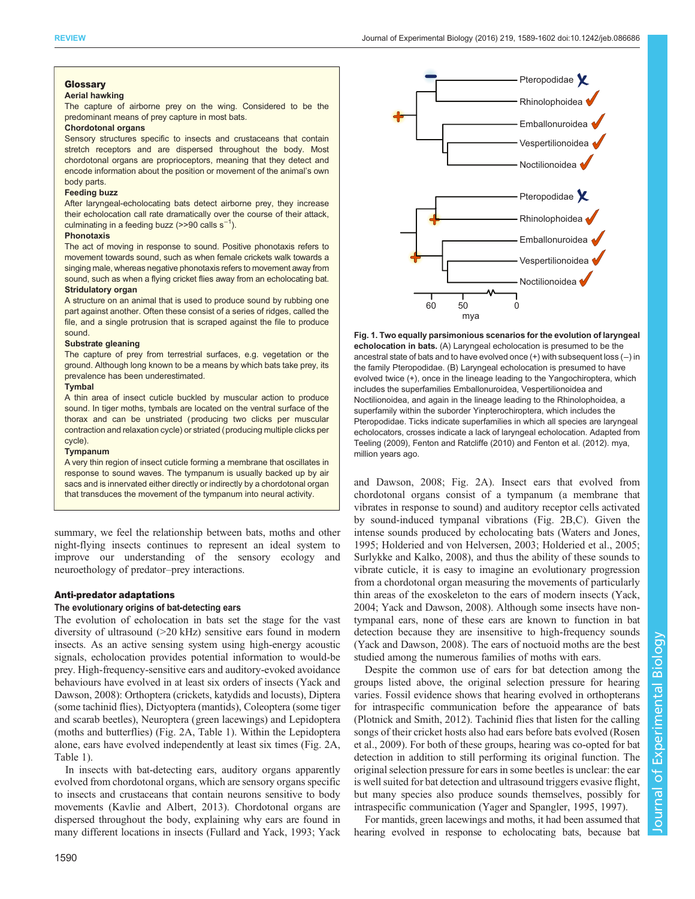#### <span id="page-2-0"></span>Glossary

#### Aerial hawking

The capture of airborne prey on the wing. Considered to be the predominant means of prey capture in most bats.

#### Chordotonal organs

Sensory structures specific to insects and crustaceans that contain stretch receptors and are dispersed throughout the body. Most chordotonal organs are proprioceptors, meaning that they detect and encode information about the position or movement of the animal's own body parts.

#### Feeding buzz

After laryngeal-echolocating bats detect airborne prey, they increase their echolocation call rate dramatically over the course of their attack, culminating in a feeding buzz ( $>$ 90 calls s<sup>-1</sup>).

#### **Phonotaxis**

The act of moving in response to sound. Positive phonotaxis refers to movement towards sound, such as when female crickets walk towards a singing male, whereas negative phonotaxis refers to movement away from sound, such as when a flying cricket flies away from an echolocating bat. Stridulatory organ

A structure on an animal that is used to produce sound by rubbing one part against another. Often these consist of a series of ridges, called the file, and a single protrusion that is scraped against the file to produce sound.

#### Substrate gleaning

The capture of prey from terrestrial surfaces, e.g. vegetation or the ground. Although long known to be a means by which bats take prey, its prevalence has been underestimated.

#### **Tymbal**

A thin area of insect cuticle buckled by muscular action to produce sound. In tiger moths, tymbals are located on the ventral surface of the thorax and can be unstriated (producing two clicks per muscular contraction and relaxation cycle) or striated (producing multiple clicks per cycle).

#### Tympanum

A very thin region of insect cuticle forming a membrane that oscillates in response to sound waves. The tympanum is usually backed up by air sacs and is innervated either directly or indirectly by a chordotonal organ that transduces the movement of the tympanum into neural activity.

summary, we feel the relationship between bats, moths and other night-flying insects continues to represent an ideal system to improve our understanding of the sensory ecology and neuroethology of predator–prey interactions.

#### Anti-predator adaptations

#### The evolutionary origins of bat-detecting ears

The evolution of echolocation in bats set the stage for the vast diversity of ultrasound (>20 kHz) sensitive ears found in modern insects. As an active sensing system using high-energy acoustic signals, echolocation provides potential information to would-be prey. High-frequency-sensitive ears and auditory-evoked avoidance behaviours have evolved in at least six orders of insects [\(Yack and](#page-13-0) [Dawson, 2008](#page-13-0)): Orthoptera (crickets, katydids and locusts), Diptera (some tachinid flies), Dictyoptera (mantids), Coleoptera (some tiger and scarab beetles), Neuroptera (green lacewings) and Lepidoptera (moths and butterflies) [\(Fig. 2A](#page-3-0), [Table 1](#page-4-0)). Within the Lepidoptera alone, ears have evolved independently at least six times [\(Fig. 2A](#page-3-0), [Table 1\)](#page-4-0).

In insects with bat-detecting ears, auditory organs apparently evolved from chordotonal organs, which are sensory organs specific to insects and crustaceans that contain neurons sensitive to body movements ([Kavlie and Albert, 2013\)](#page-12-0). Chordotonal organs are dispersed throughout the body, explaining why ears are found in many different locations in insects ([Fullard and Yack, 1993](#page-11-0); [Yack](#page-13-0)



Fig. 1. Two equally parsimonious scenarios for the evolution of laryngeal echolocation in bats. (A) Laryngeal echolocation is presumed to be the ancestral state of bats and to have evolved once (+) with subsequent loss (−) in the family Pteropodidae. (B) Laryngeal echolocation is presumed to have evolved twice (+), once in the lineage leading to the Yangochiroptera, which includes the superfamilies Emballonuroidea, Vespertilionoidea and Noctilionoidea, and again in the lineage leading to the Rhinolophoidea, a superfamily within the suborder Yinpterochiroptera, which includes the Pteropodidae. Ticks indicate superfamilies in which all species are laryngeal echolocators, crosses indicate a lack of laryngeal echolocation. Adapted from [Teeling \(2009\),](#page-13-0) [Fenton and Ratcliffe \(2010\)](#page-11-0) and [Fenton et al. \(2012\).](#page-11-0) mya, million years ago.

[and Dawson, 2008;](#page-13-0) [Fig. 2A](#page-3-0)). Insect ears that evolved from chordotonal organs consist of a tympanum (a membrane that vibrates in response to sound) and auditory receptor cells activated by sound-induced tympanal vibrations ([Fig. 2B](#page-3-0),C). Given the intense sounds produced by echolocating bats ([Waters and Jones,](#page-13-0) [1995;](#page-13-0) [Holderied and von Helversen, 2003; Holderied et al., 2005](#page-11-0); [Surlykke and Kalko, 2008\)](#page-13-0), and thus the ability of these sounds to vibrate cuticle, it is easy to imagine an evolutionary progression from a chordotonal organ measuring the movements of particularly thin areas of the exoskeleton to the ears of modern insects [\(Yack,](#page-13-0) [2004; Yack and Dawson, 2008](#page-13-0)). Although some insects have nontympanal ears, none of these ears are known to function in bat detection because they are insensitive to high-frequency sounds [\(Yack and Dawson, 2008\)](#page-13-0). The ears of noctuoid moths are the best studied among the numerous families of moths with ears.

Despite the common use of ears for bat detection among the groups listed above, the original selection pressure for hearing varies. Fossil evidence shows that hearing evolved in orthopterans for intraspecific communication before the appearance of bats [\(Plotnick and Smith, 2012](#page-12-0)). Tachinid flies that listen for the calling songs of their cricket hosts also had ears before bats evolved ([Rosen](#page-13-0) [et al., 2009\)](#page-13-0). For both of these groups, hearing was co-opted for bat detection in addition to still performing its original function. The original selection pressure for ears in some beetles is unclear: the ear is well suited for bat detection and ultrasound triggers evasive flight, but many species also produce sounds themselves, possibly for intraspecific communication ([Yager and Spangler, 1995](#page-14-0), [1997](#page-14-0)).

For mantids, green lacewings and moths, it had been assumed that hearing evolved in response to echolocating bats, because bat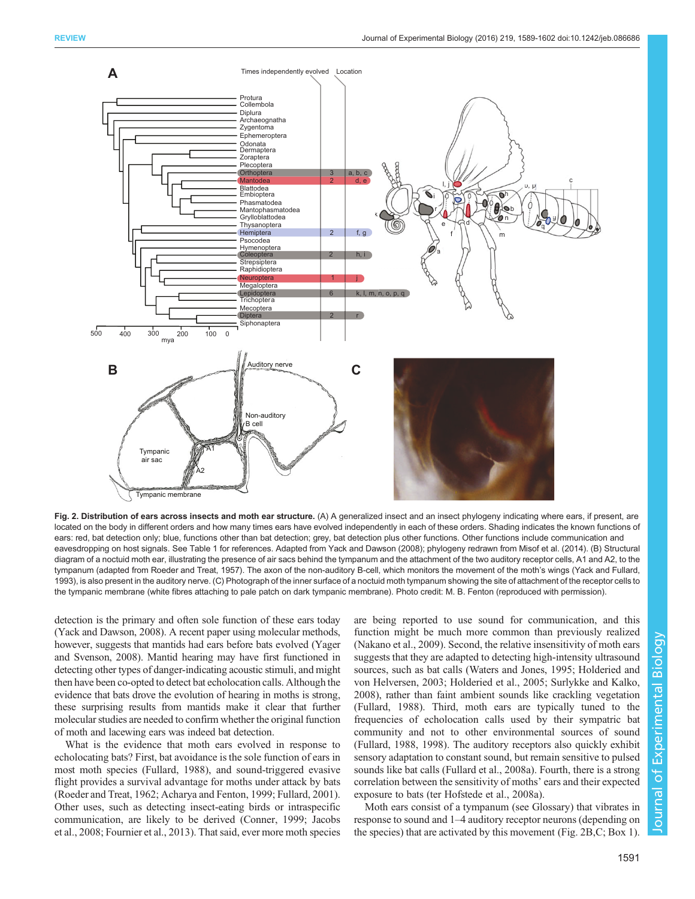<span id="page-3-0"></span>

Fig. 2. Distribution of ears across insects and moth ear structure. (A) A generalized insect and an insect phylogeny indicating where ears, if present, are located on the body in different orders and how many times ears have evolved independently in each of these orders. Shading indicates the known functions of ears: red, bat detection only; blue, functions other than bat detection; grey, bat detection plus other functions. Other functions include communication and eavesdropping on host signals. See [Table 1](#page-4-0) for references. Adapted from [Yack and Dawson \(2008\)](#page-13-0); phylogeny redrawn from [Misof et al. \(2014\).](#page-12-0) (B) Structural diagram of a noctuid moth ear, illustrating the presence of air sacs behind the tympanum and the attachment of the two auditory receptor cells, A1 and A2, to the tympanum (adapted from [Roeder and Treat, 1957](#page-12-0)). The axon of the non-auditory B-cell, which monitors the movement of the moth's wings [\(Yack and Fullard,](#page-13-0) [1993\)](#page-13-0), is also present in the auditory nerve. (C) Photograph of the inner surface of a noctuid moth tympanum showing the site of attachment of the receptor cells to the tympanic membrane (white fibres attaching to pale patch on dark tympanic membrane). Photo credit: M. B. Fenton (reproduced with permission).

detection is the primary and often sole function of these ears today [\(Yack and Dawson, 2008](#page-13-0)). A recent paper using molecular methods, however, suggests that mantids had ears before bats evolved ([Yager](#page-14-0) [and Svenson, 2008\)](#page-14-0). Mantid hearing may have first functioned in detecting other types of danger-indicating acoustic stimuli, and might then have been co-opted to detect bat echolocation calls. Although the evidence that bats drove the evolution of hearing in moths is strong, these surprising results from mantids make it clear that further molecular studies are needed to confirm whether the original function of moth and lacewing ears was indeed bat detection.

What is the evidence that moth ears evolved in response to echolocating bats? First, bat avoidance is the sole function of ears in most moth species [\(Fullard, 1988\)](#page-11-0), and sound-triggered evasive flight provides a survival advantage for moths under attack by bats [\(Roeder and Treat, 1962](#page-12-0); [Acharya and Fenton, 1999](#page-10-0); [Fullard, 2001\)](#page-11-0). Other uses, such as detecting insect-eating birds or intraspecific communication, are likely to be derived ([Conner, 1999](#page-11-0); [Jacobs](#page-11-0) [et al., 2008; Fournier et al., 2013\)](#page-11-0). That said, ever more moth species are being reported to use sound for communication, and this function might be much more common than previously realized [\(Nakano et al., 2009\)](#page-12-0). Second, the relative insensitivity of moth ears suggests that they are adapted to detecting high-intensity ultrasound sources, such as bat calls ([Waters and Jones, 1995](#page-13-0); [Holderied and](#page-11-0) [von Helversen, 2003](#page-11-0); [Holderied et al., 2005](#page-11-0); [Surlykke and Kalko,](#page-13-0) [2008\)](#page-13-0), rather than faint ambient sounds like crackling vegetation [\(Fullard, 1988](#page-11-0)). Third, moth ears are typically tuned to the frequencies of echolocation calls used by their sympatric bat community and not to other environmental sources of sound [\(Fullard, 1988](#page-11-0), [1998\)](#page-11-0). The auditory receptors also quickly exhibit sensory adaptation to constant sound, but remain sensitive to pulsed sounds like bat calls ([Fullard et al., 2008a\)](#page-11-0). Fourth, there is a strong correlation between the sensitivity of moths' ears and their expected exposure to bats [\(ter Hofstede et al., 2008a\)](#page-13-0).

Moth ears consist of a tympanum (see Glossary) that vibrates in response to sound and 1–4 auditory receptor neurons (depending on the species) that are activated by this movement (Fig. 2B,C; [Box 1\)](#page-5-0).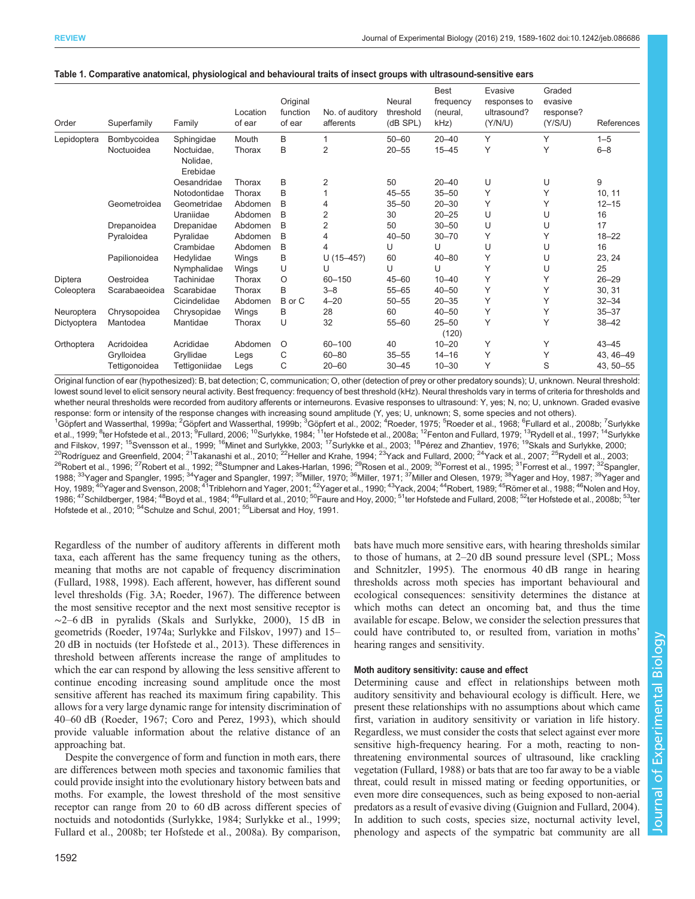| Order       | Superfamily   | Family                             | Location<br>of ear | Original<br>function<br>of ear | No. of auditory<br>afferents | Neural<br>threshold<br>(dB SPL) | <b>Best</b><br>frequency<br>(neural,<br>kHz) | Evasive<br>responses to<br>ultrasound?<br>(Y/N/U) | Graded<br>evasive<br>response?<br>(Y/S/U) | References |
|-------------|---------------|------------------------------------|--------------------|--------------------------------|------------------------------|---------------------------------|----------------------------------------------|---------------------------------------------------|-------------------------------------------|------------|
| Lepidoptera | Bombycoidea   | Sphingidae                         | Mouth              | B                              | 1                            | $50 - 60$                       | $20 - 40$                                    | Υ                                                 | Υ                                         | $1 - 5$    |
|             | Noctuoidea    | Noctuidae,<br>Nolidae,<br>Erebidae | Thorax             | B                              | $\overline{2}$               | $20 - 55$                       | $15 - 45$                                    | Υ                                                 | Υ                                         | $6 - 8$    |
|             |               | Oesandridae                        | Thorax             | B                              | $\overline{2}$               | 50                              | $20 - 40$                                    | U                                                 | U                                         | 9          |
|             |               | Notodontidae                       | Thorax             | B                              |                              | $45 - 55$                       | $35 - 50$                                    | Y                                                 | Υ                                         | 10, 11     |
|             | Geometroidea  | Geometridae                        | Abdomen            | B                              | 4                            | $35 - 50$                       | $20 - 30$                                    | Υ                                                 | Υ                                         | $12 - 15$  |
|             |               | Uraniidae                          | Abdomen            | B                              | 2                            | 30                              | $20 - 25$                                    | U                                                 | U                                         | 16         |
|             | Drepanoidea   | Drepanidae                         | Abdomen            | B                              | 2                            | 50                              | $30 - 50$                                    | U                                                 | U                                         | 17         |
|             | Pyraloidea    | Pyralidae                          | Abdomen            | B                              | 4                            | $40 - 50$                       | $30 - 70$                                    | Υ                                                 | Υ                                         | $18 - 22$  |
|             |               | Crambidae                          | Abdomen            | B                              | 4                            | U                               | U                                            | U                                                 | U                                         | 16         |
|             | Papilionoidea | Hedylidae                          | Wings              | B                              | $U(15-45?)$                  | 60                              | $40 - 80$                                    | Υ                                                 | U                                         | 23, 24     |
|             |               | Nymphalidae                        | Wings              | U                              | U                            | U                               | U                                            | Υ                                                 | U                                         | 25         |
| Diptera     | Oestroidea    | Tachinidae                         | Thorax             | O                              | 60-150                       | $45 - 60$                       | $10 - 40$                                    | Υ                                                 | Υ                                         | $26 - 29$  |
| Coleoptera  | Scarabaeoidea | Scarabidae                         | Thorax             | B                              | $3 - 8$                      | $55 - 65$                       | $40 - 50$                                    | Υ                                                 | Υ                                         | 30, 31     |
|             |               | Cicindelidae                       | Abdomen            | B or C                         | $4 - 20$                     | $50 - 55$                       | $20 - 35$                                    | Y                                                 | Υ                                         | $32 - 34$  |
| Neuroptera  | Chrysopoidea  | Chrysopidae                        | Wings              | B                              | 28                           | 60                              | $40 - 50$                                    | Υ                                                 | Υ                                         | $35 - 37$  |
| Dictyoptera | Mantodea      | Mantidae                           | Thorax             | U                              | 32                           | $55 - 60$                       | $25 - 50$<br>(120)                           | Y                                                 | Υ                                         | $38 - 42$  |
| Orthoptera  | Acridoidea    | Acrididae                          | Abdomen            | O                              | 60-100                       | 40                              | $10 - 20$                                    | Υ                                                 | Υ                                         | $43 - 45$  |
|             | Grylloidea    | Gryllidae                          | Legs               | С                              | $60 - 80$                    | $35 - 55$                       | $14 - 16$                                    | Υ                                                 | Υ                                         | 43, 46-49  |
|             | Tettigonoidea | Tettigoniidae                      | Legs               | C                              | $20 - 60$                    | $30 - 45$                       | $10 - 30$                                    | Υ                                                 | S                                         | 43, 50-55  |

#### <span id="page-4-0"></span>Table 1. Comparative anatomical, physiological and behavioural traits of insect groups with ultrasound-sensitive ears

Original function of ear (hypothesized): B, bat detection; C, communication; O, other (detection of prey or other predatory sounds); U, unknown. Neural threshold: lowest sound level to elicit sensory neural activity. Best frequency: frequency of best threshold (kHz). Neural thresholds vary in terms of criteria for thresholds and whether neural thresholds were recorded from auditory afferents or interneurons. Evasive responses to ultrasound: Y, yes; N, no; U, unknown. Graded evasive response: form or intensity of the response changes with increasing sound amplitude (Y, yes; U, unknown; S, some species and not others).  $^1$ [Göpfert and Wasserthal, 1999a;](#page-11-0)  $^2$ [Göpfert and Wasserthal, 1999b;](#page-11-0)  $^3$ [Göpfert et al., 2002](#page-11-0);  $^4$ [Roeder, 1975](#page-12-0);  $^5$ [Roeder et al., 1968](#page-12-0);  $^6$ [Fullard et al., 2008b](#page-11-0);  $^7$ [Surlykke](#page-13-0) [et al., 1999;](#page-13-0) <sup>8</sup>[ter Hofstede et al., 2013;](#page-13-0) <sup>9</sup>[Fullard, 2006](#page-11-0); <sup>10</sup>[Surlykke, 1984;](#page-13-0) <sup>11</sup>ter Hofstede et al., 2008a; <sup>12</sup>Fenton and Fullard, 1979; <sup>13</sup>[Rydell et al., 1997;](#page-13-0) <sup>14</sup>[Surlykke](#page-13-0) [and Filskov, 1997](#page-13-0); <sup>15</sup>[Svensson et al., 1999](#page-13-0); <sup>16</sup>Minet and Surlykke, 2003; <sup>17</sup>[Surlykke et al., 2003](#page-13-0); <sup>18</sup>Pérez and Zhantiev, 1976; <sup>19</sup>[Skals and Surlykke, 2000;](#page-13-0)<br><sup>20</sup>Rodríguez and Greenfield, 2004; <sup>21</sup>Takanashi et al., 2 [1988;](#page-13-0) <sup>33</sup>[Yager and Spangler, 1995;](#page-14-0) <sup>34</sup>[Yager and Spangler, 1997;](#page-14-0) <sup>35</sup>[Miller, 1970;](#page-12-0) <sup>36</sup>[Miller, 1971;](#page-12-0) <sup>37</sup>Miller and Olesen, 1979; <sup>38</sup>[Yager and Hoy, 1987](#page-14-0); <sup>39</sup>Yager and [Hoy, 1989](#page-14-0); <sup>40</sup>[Yager and Svenson, 2008;](#page-14-0) <sup>41</sup>Triblehorn and Yager, 2001; <sup>42</sup>[Yager et al., 1990](#page-14-0); <sup>43</sup>[Yack, 2004](#page-13-0); <sup>44</sup>[Robert, 1989;](#page-12-0) <sup>45</sup>[Römer et al., 1988;](#page-12-0) <sup>46</sup>Nolen and Hoy, [1986;](#page-12-0) <sup>47</sup>Schildberger, 1984; <sup>48</sup>[Boyd et al., 1984](#page-10-0); <sup>49</sup>[Fullard et al., 2010;](#page-11-0) <sup>50</sup>Faure and Hoy, 2000; <sup>51</sup>[ter Hofstede and Fullard, 2008;](#page-13-0) <sup>52</sup>[ter Hofstede et al., 2008b;](#page-13-0) <sup>53</sup>ter

[Hofstede et al., 2010;](#page-13-0) <sup>54</sup>[Schulze and Schul, 2001](#page-13-0); <sup>55</sup>[Libersat and Hoy, 1991.](#page-12-0)

Regardless of the number of auditory afferents in different moth taxa, each afferent has the same frequency tuning as the others, meaning that moths are not capable of frequency discrimination [\(Fullard, 1988](#page-11-0), [1998](#page-11-0)). Each afferent, however, has different sound level thresholds [\(Fig. 3](#page-5-0)A; [Roeder, 1967](#page-12-0)). The difference between the most sensitive receptor and the next most sensitive receptor is  $\sim$ 2–6 dB in pyralids [\(Skals and Surlykke, 2000](#page-13-0)), 15 dB in geometrids ([Roeder, 1974a](#page-12-0); [Surlykke and Filskov, 1997\)](#page-13-0) and 15– 20 dB in noctuids [\(ter Hofstede et al., 2013\)](#page-13-0). These differences in threshold between afferents increase the range of amplitudes to which the ear can respond by allowing the less sensitive afferent to continue encoding increasing sound amplitude once the most sensitive afferent has reached its maximum firing capability. This allows for a very large dynamic range for intensity discrimination of 40–60 dB [\(Roeder, 1967;](#page-12-0) [Coro and Perez, 1993\)](#page-11-0), which should provide valuable information about the relative distance of an approaching bat.

Despite the convergence of form and function in moth ears, there are differences between moth species and taxonomic families that could provide insight into the evolutionary history between bats and moths. For example, the lowest threshold of the most sensitive receptor can range from 20 to 60 dB across different species of noctuids and notodontids ([Surlykke, 1984](#page-13-0); [Surlykke et al., 1999](#page-13-0); [Fullard et al., 2008b;](#page-11-0) [ter Hofstede et al., 2008a\)](#page-13-0). By comparison,

bats have much more sensitive ears, with hearing thresholds similar to those of humans, at 2–20 dB sound pressure level (SPL; [Moss](#page-12-0) [and Schnitzler, 1995\)](#page-12-0). The enormous 40 dB range in hearing thresholds across moth species has important behavioural and ecological consequences: sensitivity determines the distance at which moths can detect an oncoming bat, and thus the time available for escape. Below, we consider the selection pressures that could have contributed to, or resulted from, variation in moths' hearing ranges and sensitivity.

#### Moth auditory sensitivity: cause and effect

Determining cause and effect in relationships between moth auditory sensitivity and behavioural ecology is difficult. Here, we present these relationships with no assumptions about which came first, variation in auditory sensitivity or variation in life history. Regardless, we must consider the costs that select against ever more sensitive high-frequency hearing. For a moth, reacting to nonthreatening environmental sources of ultrasound, like crackling vegetation ([Fullard, 1988](#page-11-0)) or bats that are too far away to be a viable threat, could result in missed mating or feeding opportunities, or even more dire consequences, such as being exposed to non-aerial predators as a result of evasive diving [\(Guignion and Fullard, 2004\)](#page-11-0). In addition to such costs, species size, nocturnal activity level, phenology and aspects of the sympatric bat community are all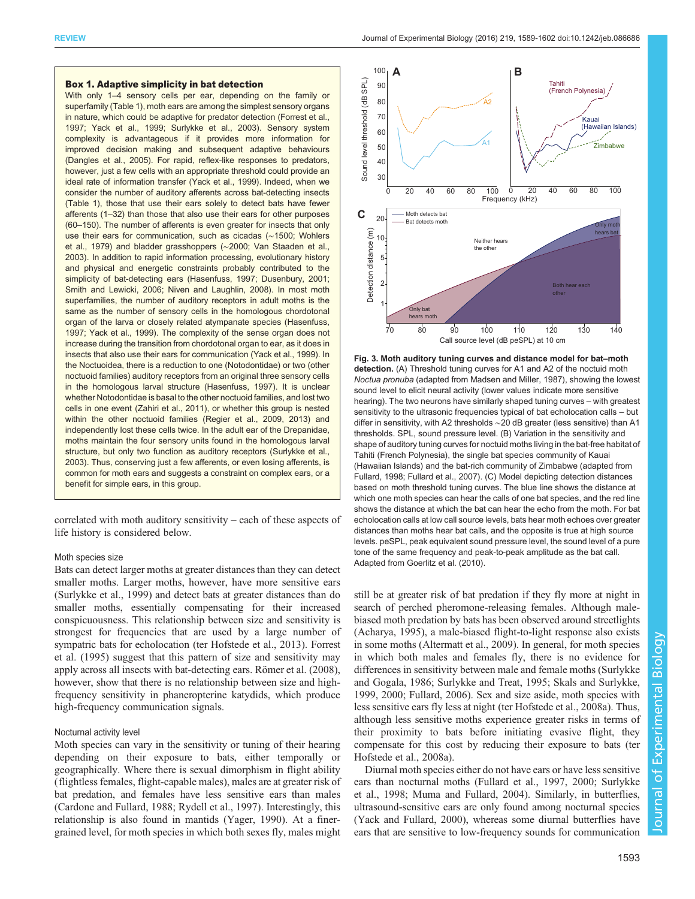#### <span id="page-5-0"></span>Box 1. Adaptive simplicity in bat detection

With only 1–4 sensory cells per ear, depending on the family or superfamily [\(Table 1\)](#page-4-0), moth ears are among the simplest sensory organs in nature, which could be adaptive for predator detection [\(Forrest et al.,](#page-11-0) [1997](#page-11-0); [Yack et al., 1999; Surlykke et al., 2003](#page-13-0)). Sensory system complexity is advantageous if it provides more information for improved decision making and subsequent adaptive behaviours ([Dangles et al., 2005\)](#page-11-0). For rapid, reflex-like responses to predators, however, just a few cells with an appropriate threshold could provide an ideal rate of information transfer [\(Yack et al., 1999\)](#page-13-0). Indeed, when we consider the number of auditory afferents across bat-detecting insects ([Table 1\)](#page-4-0), those that use their ears solely to detect bats have fewer afferents (1–32) than those that also use their ears for other purposes (60–150). The number of afferents is even greater for insects that only use their ears for communication, such as cicadas (∼1500; [Wohlers](#page-13-0) [et al., 1979\)](#page-13-0) and bladder grasshoppers (∼2000; [Van Staaden et al.,](#page-13-0) [2003](#page-13-0)). In addition to rapid information processing, evolutionary history and physical and energetic constraints probably contributed to the simplicity of bat-detecting ears [\(Hasenfuss, 1997; Dusenbury, 2001](#page-11-0); [Smith and Lewicki, 2006](#page-13-0); [Niven and Laughlin, 2008\)](#page-12-0). In most moth superfamilies, the number of auditory receptors in adult moths is the same as the number of sensory cells in the homologous chordotonal organ of the larva or closely related atympanate species [\(Hasenfuss,](#page-11-0) [1997](#page-11-0); [Yack et al., 1999](#page-13-0)). The complexity of the sense organ does not increase during the transition from chordotonal organ to ear, as it does in insects that also use their ears for communication [\(Yack et al., 1999\)](#page-13-0). In the Noctuoidea, there is a reduction to one (Notodontidae) or two (other noctuoid families) auditory receptors from an original three sensory cells in the homologous larval structure ([Hasenfuss, 1997](#page-11-0)). It is unclear whether Notodontidae is basal to the other noctuoid families, and lost two cells in one event [\(Zahiri et al., 2011](#page-14-0)), or whether this group is nested within the other noctuoid families [\(Regier et al., 2009](#page-12-0), [2013](#page-12-0)) and independently lost these cells twice. In the adult ear of the Drepanidae, moths maintain the four sensory units found in the homologous larval structure, but only two function as auditory receptors [\(Surlykke et al.,](#page-13-0) [2003](#page-13-0)). Thus, conserving just a few afferents, or even losing afferents, is common for moth ears and suggests a constraint on complex ears, or a benefit for simple ears, in this group.

correlated with moth auditory sensitivity – each of these aspects of life history is considered below.

#### Moth species size

Bats can detect larger moths at greater distances than they can detect smaller moths. Larger moths, however, have more sensitive ears [\(Surlykke et al., 1999\)](#page-13-0) and detect bats at greater distances than do smaller moths, essentially compensating for their increased conspicuousness. This relationship between size and sensitivity is strongest for frequencies that are used by a large number of sympatric bats for echolocation [\(ter Hofstede et al., 2013\)](#page-13-0). [Forrest](#page-11-0) [et al. \(1995\)](#page-11-0) suggest that this pattern of size and sensitivity may apply across all insects with bat-detecting ears. [Römer et al. \(2008\),](#page-12-0) however, show that there is no relationship between size and highfrequency sensitivity in phaneropterine katydids, which produce high-frequency communication signals.

#### Nocturnal activity level

Moth species can vary in the sensitivity or tuning of their hearing depending on their exposure to bats, either temporally or geographically. Where there is sexual dimorphism in flight ability (flightless females, flight-capable males), males are at greater risk of bat predation, and females have less sensitive ears than males [\(Cardone and Fullard, 1988](#page-11-0); [Rydell et al., 1997\)](#page-13-0). Interestingly, this relationship is also found in mantids [\(Yager, 1990](#page-13-0)). At a finergrained level, for moth species in which both sexes fly, males might



Fig. 3. Moth auditory tuning curves and distance model for bat–moth detection. (A) Threshold tuning curves for A1 and A2 of the noctuid moth Noctua pronuba (adapted from [Madsen and Miller, 1987\)](#page-12-0), showing the lowest sound level to elicit neural activity (lower values indicate more sensitive hearing). The two neurons have similarly shaped tuning curves – with greatest sensitivity to the ultrasonic frequencies typical of bat echolocation calls – but differ in sensitivity, with A2 thresholds ∼20 dB greater (less sensitive) than A1 thresholds. SPL, sound pressure level. (B) Variation in the sensitivity and shape of auditory tuning curves for noctuid moths living in the bat-free habitat of Tahiti (French Polynesia), the single bat species community of Kauai (Hawaiian Islands) and the bat-rich community of Zimbabwe (adapted from [Fullard, 1998](#page-11-0); [Fullard et al., 2007\)](#page-11-0). (C) Model depicting detection distances based on moth threshold tuning curves. The blue line shows the distance at which one moth species can hear the calls of one bat species, and the red line shows the distance at which the bat can hear the echo from the moth. For bat echolocation calls at low call source levels, bats hear moth echoes over greater distances than moths hear bat calls, and the opposite is true at high source levels. peSPL, peak equivalent sound pressure level, the sound level of a pure tone of the same frequency and peak-to-peak amplitude as the bat call. Adapted from [Goerlitz et al. \(2010\).](#page-11-0)

still be at greater risk of bat predation if they fly more at night in search of perched pheromone-releasing females. Although malebiased moth predation by bats has been observed around streetlights [\(Acharya, 1995](#page-10-0)), a male-biased flight-to-light response also exists in some moths [\(Altermatt et al., 2009](#page-10-0)). In general, for moth species in which both males and females fly, there is no evidence for differences in sensitivity between male and female moths [\(Surlykke](#page-13-0) [and Gogala, 1986](#page-13-0); [Surlykke and Treat, 1995](#page-13-0); [Skals and Surlykke,](#page-13-0) [1999, 2000](#page-13-0); [Fullard, 2006\)](#page-11-0). Sex and size aside, moth species with less sensitive ears fly less at night [\(ter Hofstede et al., 2008a](#page-13-0)). Thus, although less sensitive moths experience greater risks in terms of their proximity to bats before initiating evasive flight, they compensate for this cost by reducing their exposure to bats [\(ter](#page-13-0) [Hofstede et al., 2008a](#page-13-0)).

Diurnal moth species either do not have ears or have less sensitive ears than nocturnal moths [\(Fullard et al., 1997, 2000](#page-11-0); [Surlykke](#page-13-0) [et al., 1998](#page-13-0); [Muma and Fullard, 2004](#page-12-0)). Similarly, in butterflies, ultrasound-sensitive ears are only found among nocturnal species [\(Yack and Fullard, 2000\)](#page-13-0), whereas some diurnal butterflies have ears that are sensitive to low-frequency sounds for communication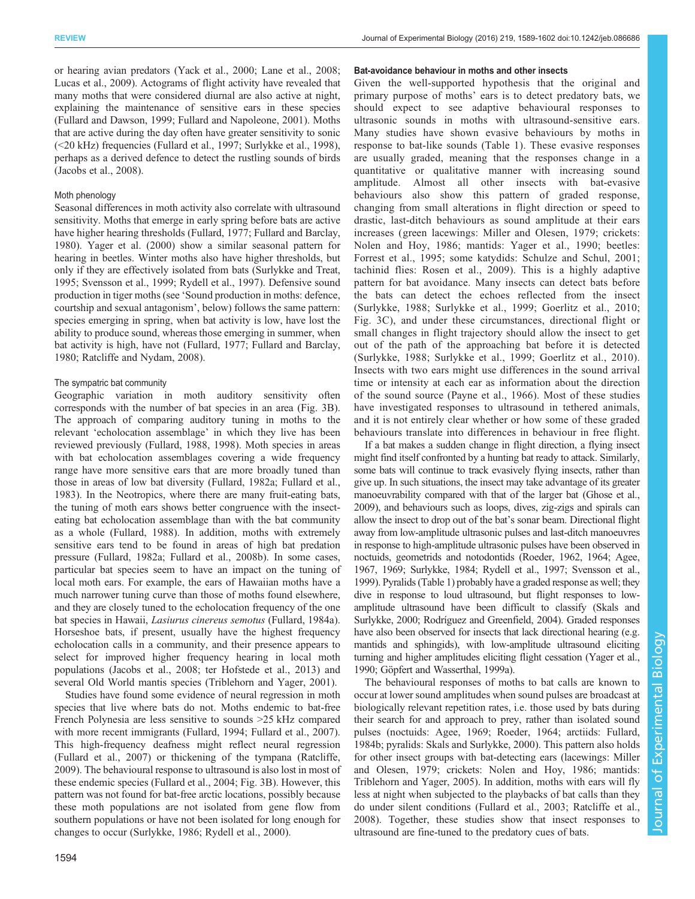or hearing avian predators ([Yack et al., 2000](#page-13-0); [Lane et al., 2008](#page-12-0); [Lucas et al., 2009\)](#page-12-0). Actograms of flight activity have revealed that many moths that were considered diurnal are also active at night, explaining the maintenance of sensitive ears in these species [\(Fullard and Dawson, 1999; Fullard and Napoleone, 2001\)](#page-11-0). Moths that are active during the day often have greater sensitivity to sonic (<20 kHz) frequencies ([Fullard et al., 1997;](#page-11-0) [Surlykke et al., 1998\)](#page-13-0), perhaps as a derived defence to detect the rustling sounds of birds [\(Jacobs et al., 2008](#page-11-0)).

#### Moth phenology

Seasonal differences in moth activity also correlate with ultrasound sensitivity. Moths that emerge in early spring before bats are active have higher hearing thresholds [\(Fullard, 1977](#page-11-0); [Fullard and Barclay,](#page-11-0) [1980](#page-11-0)). [Yager et al. \(2000\)](#page-14-0) show a similar seasonal pattern for hearing in beetles. Winter moths also have higher thresholds, but only if they are effectively isolated from bats [\(Surlykke and Treat,](#page-13-0) [1995](#page-13-0); [Svensson et al., 1999; Rydell et al., 1997\)](#page-13-0). Defensive sound production in tiger moths (see 'Sound production in moths: defence, courtship and sexual antagonism', below) follows the same pattern: species emerging in spring, when bat activity is low, have lost the ability to produce sound, whereas those emerging in summer, when bat activity is high, have not ([Fullard, 1977](#page-11-0); [Fullard and Barclay,](#page-11-0) [1980](#page-11-0); [Ratcliffe and Nydam, 2008\)](#page-12-0).

#### The sympatric bat community

Geographic variation in moth auditory sensitivity often corresponds with the number of bat species in an area [\(Fig. 3](#page-5-0)B). The approach of comparing auditory tuning in moths to the relevant 'echolocation assemblage' in which they live has been reviewed previously [\(Fullard, 1988, 1998](#page-11-0)). Moth species in areas with bat echolocation assemblages covering a wide frequency range have more sensitive ears that are more broadly tuned than those in areas of low bat diversity [\(Fullard, 1982a](#page-11-0); [Fullard et al.,](#page-11-0) [1983](#page-11-0)). In the Neotropics, where there are many fruit-eating bats, the tuning of moth ears shows better congruence with the insecteating bat echolocation assemblage than with the bat community as a whole ([Fullard, 1988](#page-11-0)). In addition, moths with extremely sensitive ears tend to be found in areas of high bat predation pressure [\(Fullard, 1982a](#page-11-0); [Fullard et al., 2008b\)](#page-11-0). In some cases, particular bat species seem to have an impact on the tuning of local moth ears. For example, the ears of Hawaiian moths have a much narrower tuning curve than those of moths found elsewhere, and they are closely tuned to the echolocation frequency of the one bat species in Hawaii, Lasiurus cinereus semotus [\(Fullard, 1984a\)](#page-11-0). Horseshoe bats, if present, usually have the highest frequency echolocation calls in a community, and their presence appears to select for improved higher frequency hearing in local moth populations [\(Jacobs et al., 2008](#page-11-0); [ter Hofstede et al., 2013\)](#page-13-0) and several Old World mantis species ([Triblehorn and Yager, 2001\)](#page-13-0).

Studies have found some evidence of neural regression in moth species that live where bats do not. Moths endemic to bat-free French Polynesia are less sensitive to sounds >25 kHz compared with more recent immigrants [\(Fullard, 1994; Fullard et al., 2007\)](#page-11-0). This high-frequency deafness might reflect neural regression [\(Fullard et al., 2007](#page-11-0)) or thickening of the tympana [\(Ratcliffe,](#page-12-0) [2009](#page-12-0)). The behavioural response to ultrasound is also lost in most of these endemic species [\(Fullard et al., 2004;](#page-11-0) [Fig. 3B](#page-5-0)). However, this pattern was not found for bat-free arctic locations, possibly because these moth populations are not isolated from gene flow from southern populations or have not been isolated for long enough for changes to occur ([Surlykke, 1986](#page-13-0); [Rydell et al., 2000](#page-13-0)).

#### Bat-avoidance behaviour in moths and other insects

Given the well-supported hypothesis that the original and primary purpose of moths' ears is to detect predatory bats, we should expect to see adaptive behavioural responses to ultrasonic sounds in moths with ultrasound-sensitive ears. Many studies have shown evasive behaviours by moths in response to bat-like sounds ([Table 1\)](#page-4-0). These evasive responses are usually graded, meaning that the responses change in a quantitative or qualitative manner with increasing sound amplitude. Almost all other insects with bat-evasive behaviours also show this pattern of graded response, changing from small alterations in flight direction or speed to drastic, last-ditch behaviours as sound amplitude at their ears increases (green lacewings: [Miller and Olesen,](#page-12-0) 1979; crickets: [Nolen and Hoy, 1986;](#page-12-0) mantids: [Yager et al., 1990;](#page-14-0) beetles: [Forrest et al., 1995;](#page-11-0) some katydids: [Schulze and Schul, 2001](#page-13-0); tachinid flies: [Rosen et al., 2009](#page-13-0)). This is a highly adaptive pattern for bat avoidance. Many insects can detect bats before the bats can detect the echoes reflected from the insect [\(Surlykke, 1988; Surlykke et al., 1999;](#page-13-0) [Goerlitz et al., 2010](#page-11-0); [Fig. 3C](#page-5-0)), and under these circumstances, directional flight or small changes in flight trajectory should allow the insect to get out of the path of the approaching bat before it is detected [\(Surlykke, 1988](#page-13-0); [Surlykke et al., 1999;](#page-13-0) [Goerlitz et al., 2010](#page-11-0)). Insects with two ears might use differences in the sound arrival time or intensity at each ear as information about the direction of the sound source ([Payne et al., 1966\)](#page-12-0). Most of these studies have investigated responses to ultrasound in tethered animals, and it is not entirely clear whether or how some of these graded behaviours translate into differences in behaviour in free flight.

If a bat makes a sudden change in flight direction, a flying insect might find itself confronted by a hunting bat ready to attack. Similarly, some bats will continue to track evasively flying insects, rather than give up. In such situations, the insect may take advantage of its greater manoeuvrability compared with that of the larger bat [\(Ghose et al.,](#page-11-0) [2009](#page-11-0)), and behaviours such as loops, dives, zig-zigs and spirals can allow the insect to drop out of the bat's sonar beam. Directional flight away from low-amplitude ultrasonic pulses and last-ditch manoeuvres in response to high-amplitude ultrasonic pulses have been observed in noctuids, geometrids and notodontids [\(Roeder, 1962](#page-12-0), [1964;](#page-12-0) [Agee,](#page-10-0) [1967](#page-10-0), [1969](#page-10-0); [Surlykke, 1984; Rydell et al., 1997; Svensson et al.,](#page-13-0) [1999](#page-13-0)). Pyralids [\(Table 1\)](#page-4-0) probably have a graded response as well; they dive in response to loud ultrasound, but flight responses to lowamplitude ultrasound have been difficult to classify [\(Skals and](#page-13-0) [Surlykke, 2000](#page-13-0); [Rodríguez and Greenfield, 2004](#page-12-0)). Graded responses have also been observed for insects that lack directional hearing (e.g. mantids and sphingids), with low-amplitude ultrasound eliciting turning and higher amplitudes eliciting flight cessation ([Yager et al.,](#page-14-0) [1990](#page-14-0); [Göpfert and Wasserthal, 1999a\)](#page-11-0).

The behavioural responses of moths to bat calls are known to occur at lower sound amplitudes when sound pulses are broadcast at biologically relevant repetition rates, i.e. those used by bats during their search for and approach to prey, rather than isolated sound pulses (noctuids: [Agee, 1969](#page-10-0); [Roeder, 1964;](#page-12-0) arctiids: [Fullard,](#page-11-0) [1984b;](#page-11-0) pyralids: [Skals and Surlykke, 2000](#page-13-0)). This pattern also holds for other insect groups with bat-detecting ears (lacewings: [Miller](#page-12-0) [and Olesen, 1979](#page-12-0); crickets: [Nolen and Hoy, 1986](#page-12-0); mantids: [Triblehorn and Yager, 2005](#page-13-0)). In addition, moths with ears will fly less at night when subjected to the playbacks of bat calls than they do under silent conditions [\(Fullard et al., 2003](#page-11-0); [Ratcliffe et al.,](#page-12-0) [2008\)](#page-12-0). Together, these studies show that insect responses to ultrasound are fine-tuned to the predatory cues of bats.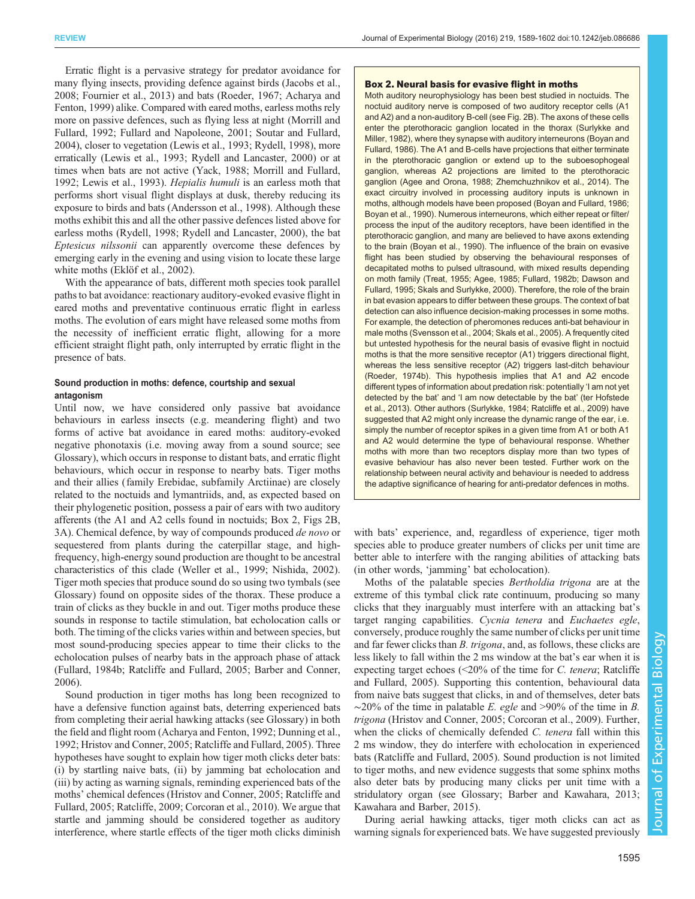Erratic flight is a pervasive strategy for predator avoidance for many flying insects, providing defence against birds ([Jacobs et al.,](#page-11-0) [2008](#page-11-0); [Fournier et al., 2013\)](#page-11-0) and bats ([Roeder, 1967;](#page-12-0) [Acharya and](#page-10-0) [Fenton, 1999](#page-10-0)) alike. Compared with eared moths, earless moths rely more on passive defences, such as flying less at night ([Morrill and](#page-12-0) [Fullard, 1992;](#page-12-0) [Fullard and Napoleone, 2001](#page-11-0); [Soutar and Fullard,](#page-13-0) [2004](#page-13-0)), closer to vegetation ([Lewis et al., 1993;](#page-12-0) [Rydell, 1998](#page-13-0)), more erratically [\(Lewis et al., 1993;](#page-12-0) [Rydell and Lancaster, 2000\)](#page-13-0) or at times when bats are not active ([Yack, 1988](#page-13-0); [Morrill and Fullard,](#page-12-0) [1992](#page-12-0); [Lewis et al., 1993\)](#page-12-0). Hepialis humuli is an earless moth that performs short visual flight displays at dusk, thereby reducing its exposure to birds and bats ([Andersson et al., 1998\)](#page-10-0). Although these moths exhibit this and all the other passive defences listed above for earless moths ([Rydell, 1998](#page-13-0); [Rydell and Lancaster, 2000\)](#page-13-0), the bat Eptesicus nilssonii can apparently overcome these defences by emerging early in the evening and using vision to locate these large white moths [\(Eklöf et al., 2002\)](#page-11-0).

With the appearance of bats, different moth species took parallel paths to bat avoidance: reactionary auditory-evoked evasive flight in eared moths and preventative continuous erratic flight in earless moths. The evolution of ears might have released some moths from the necessity of inefficient erratic flight, allowing for a more efficient straight flight path, only interrupted by erratic flight in the presence of bats.

## Sound production in moths: defence, courtship and sexual antagonism

Until now, we have considered only passive bat avoidance behaviours in earless insects (e.g. meandering flight) and two forms of active bat avoidance in eared moths: auditory-evoked negative phonotaxis (i.e. moving away from a sound source; see Glossary), which occurs in response to distant bats, and erratic flight behaviours, which occur in response to nearby bats. Tiger moths and their allies (family Erebidae, subfamily Arctiinae) are closely related to the noctuids and lymantriids, and, as expected based on their phylogenetic position, possess a pair of ears with two auditory afferents (the A1 and A2 cells found in noctuids; Box 2, [Figs 2](#page-3-0)B, [3A](#page-5-0)). Chemical defence, by way of compounds produced *de novo* or sequestered from plants during the caterpillar stage, and highfrequency, high-energy sound production are thought to be ancestral characteristics of this clade [\(Weller et al., 1999;](#page-13-0) [Nishida, 2002\)](#page-12-0). Tiger moth species that produce sound do so using two tymbals (see Glossary) found on opposite sides of the thorax. These produce a train of clicks as they buckle in and out. Tiger moths produce these sounds in response to tactile stimulation, bat echolocation calls or both. The timing of the clicks varies within and between species, but most sound-producing species appear to time their clicks to the echolocation pulses of nearby bats in the approach phase of attack [\(Fullard, 1984b;](#page-11-0) [Ratcliffe and Fullard, 2005](#page-12-0); [Barber and Conner,](#page-10-0) [2006](#page-10-0)).

Sound production in tiger moths has long been recognized to have a defensive function against bats, deterring experienced bats from completing their aerial hawking attacks (see Glossary) in both the field and flight room [\(Acharya and Fenton, 1992;](#page-10-0) [Dunning et al.,](#page-11-0) [1992](#page-11-0); [Hristov and Conner, 2005](#page-11-0); [Ratcliffe and Fullard, 2005](#page-12-0)). Three hypotheses have sought to explain how tiger moth clicks deter bats: (i) by startling naive bats, (ii) by jamming bat echolocation and (iii) by acting as warning signals, reminding experienced bats of the moths' chemical defences [\(Hristov and Conner, 2005](#page-11-0); [Ratcliffe and](#page-12-0) [Fullard, 2005](#page-12-0); [Ratcliffe, 2009;](#page-12-0) [Corcoran et al., 2010](#page-11-0)). We argue that startle and jamming should be considered together as auditory interference, where startle effects of the tiger moth clicks diminish

#### Box 2. Neural basis for evasive flight in moths

Moth auditory neurophysiology has been best studied in noctuids. The noctuid auditory nerve is composed of two auditory receptor cells (A1 and A2) and a non-auditory B-cell (see [Fig. 2](#page-3-0)B). The axons of these cells enter the pterothoracic ganglion located in the thorax [\(Surlykke and](#page-13-0) [Miller, 1982](#page-13-0)), where they synapse with auditory interneurons [\(Boyan and](#page-10-0) [Fullard, 1986](#page-10-0)). The A1 and B-cells have projections that either terminate in the pterothoracic ganglion or extend up to the suboesophogeal ganglion, whereas A2 projections are limited to the pterothoracic ganglion ([Agee and Orona, 1988](#page-10-0); [Zhemchuzhnikov et al., 2014](#page-14-0)). The exact circuitry involved in processing auditory inputs is unknown in moths, although models have been proposed ([Boyan and Fullard, 1986](#page-10-0); [Boyan et al., 1990](#page-10-0)). Numerous interneurons, which either repeat or filter/ process the input of the auditory receptors, have been identified in the pterothoracic ganglion, and many are believed to have axons extending to the brain ([Boyan et al., 1990\)](#page-10-0). The influence of the brain on evasive flight has been studied by observing the behavioural responses of decapitated moths to pulsed ultrasound, with mixed results depending on moth family [\(Treat, 1955](#page-13-0); [Agee, 1985](#page-10-0); [Fullard, 1982b](#page-11-0); [Dawson and](#page-11-0) [Fullard, 1995](#page-11-0); [Skals and Surlykke, 2000\)](#page-13-0). Therefore, the role of the brain in bat evasion appears to differ between these groups. The context of bat detection can also influence decision-making processes in some moths. For example, the detection of pheromones reduces anti-bat behaviour in male moths [\(Svensson et al., 2004](#page-13-0); [Skals et al., 2005](#page-13-0)). A frequently cited but untested hypothesis for the neural basis of evasive flight in noctuid moths is that the more sensitive receptor (A1) triggers directional flight, whereas the less sensitive receptor (A2) triggers last-ditch behaviour ([Roeder, 1974b](#page-12-0)). This hypothesis implies that A1 and A2 encode different types of information about predation risk: potentially 'I am not yet detected by the bat' and 'I am now detectable by the bat' ([ter Hofstede](#page-13-0) [et al., 2013](#page-13-0)). Other authors ([Surlykke, 1984](#page-13-0); [Ratcliffe et al., 2009](#page-12-0)) have suggested that A2 might only increase the dynamic range of the ear, i.e. simply the number of receptor spikes in a given time from A1 or both A1 and A2 would determine the type of behavioural response. Whether moths with more than two receptors display more than two types of evasive behaviour has also never been tested. Further work on the relationship between neural activity and behaviour is needed to address the adaptive significance of hearing for anti-predator defences in moths.

with bats' experience, and, regardless of experience, tiger moth species able to produce greater numbers of clicks per unit time are better able to interfere with the ranging abilities of attacking bats (in other words, 'jamming' bat echolocation).

Moths of the palatable species Bertholdia trigona are at the extreme of this tymbal click rate continuum, producing so many clicks that they inarguably must interfere with an attacking bat's target ranging capabilities. Cycnia tenera and Euchaetes egle, conversely, produce roughly the same number of clicks per unit time and far fewer clicks than *B. trigona*, and, as follows, these clicks are less likely to fall within the 2 ms window at the bat's ear when it is expecting target echoes  $\ll 20\%$  of the time for *C. tenera*; [Ratcliffe](#page-12-0) [and Fullard, 2005\)](#page-12-0). Supporting this contention, behavioural data from naive bats suggest that clicks, in and of themselves, deter bats  $\sim$ 20% of the time in palatable *E. egle* and >90% of the time in *B*. trigona [\(Hristov and Conner, 2005; Corcoran et al., 2009](#page-11-0)). Further, when the clicks of chemically defended C. tenera fall within this 2 ms window, they do interfere with echolocation in experienced bats ([Ratcliffe and Fullard, 2005](#page-12-0)). Sound production is not limited to tiger moths, and new evidence suggests that some sphinx moths also deter bats by producing many clicks per unit time with a stridulatory organ (see Glossary; [Barber and Kawahara, 2013](#page-10-0); [Kawahara and Barber, 2015](#page-12-0)).

During aerial hawking attacks, tiger moth clicks can act as warning signals for experienced bats. We have suggested previously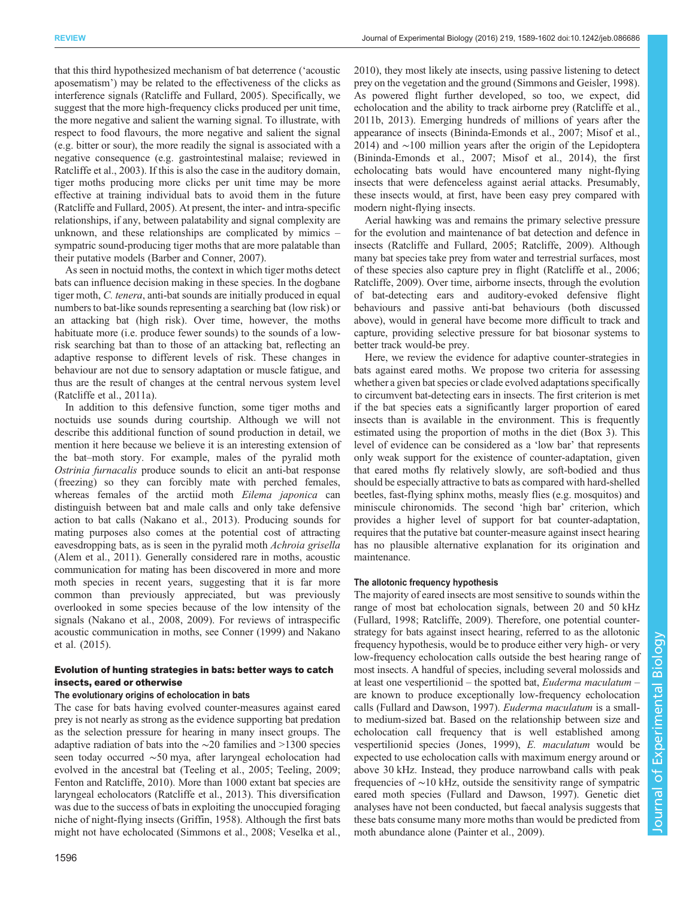that this third hypothesized mechanism of bat deterrence ('acoustic aposematism') may be related to the effectiveness of the clicks as interference signals ([Ratcliffe and Fullard, 2005\)](#page-12-0). Specifically, we suggest that the more high-frequency clicks produced per unit time, the more negative and salient the warning signal. To illustrate, with respect to food flavours, the more negative and salient the signal (e.g. bitter or sour), the more readily the signal is associated with a negative consequence (e.g. gastrointestinal malaise; reviewed in [Ratcliffe et al., 2003\)](#page-12-0). If this is also the case in the auditory domain, tiger moths producing more clicks per unit time may be more effective at training individual bats to avoid them in the future [\(Ratcliffe and Fullard, 2005\)](#page-12-0). At present, the inter- and intra-specific relationships, if any, between palatability and signal complexity are unknown, and these relationships are complicated by mimics – sympatric sound-producing tiger moths that are more palatable than their putative models [\(Barber and Conner, 2007](#page-10-0)).

As seen in noctuid moths, the context in which tiger moths detect bats can influence decision making in these species. In the dogbane tiger moth, C. tenera, anti-bat sounds are initially produced in equal numbers to bat-like sounds representing a searching bat (low risk) or an attacking bat (high risk). Over time, however, the moths habituate more (i.e. produce fewer sounds) to the sounds of a lowrisk searching bat than to those of an attacking bat, reflecting an adaptive response to different levels of risk. These changes in behaviour are not due to sensory adaptation or muscle fatigue, and thus are the result of changes at the central nervous system level [\(Ratcliffe et al., 2011a\)](#page-12-0).

In addition to this defensive function, some tiger moths and noctuids use sounds during courtship. Although we will not describe this additional function of sound production in detail, we mention it here because we believe it is an interesting extension of the bat–moth story. For example, males of the pyralid moth Ostrinia furnacalis produce sounds to elicit an anti-bat response (freezing) so they can forcibly mate with perched females, whereas females of the arctiid moth Eilema japonica can distinguish between bat and male calls and only take defensive action to bat calls ([Nakano et al., 2013\)](#page-12-0). Producing sounds for mating purposes also comes at the potential cost of attracting eavesdropping bats, as is seen in the pyralid moth Achroia grisella (Alem et al., 2011). Generally considered rare in moths, acoustic communication for mating has been discovered in more and more moth species in recent years, suggesting that it is far more common than previously appreciated, but was previously overlooked in some species because of the low intensity of the signals ([Nakano et al., 2008, 2009\)](#page-12-0). For reviews of intraspecific acoustic communication in moths, see [Conner \(1999\)](#page-11-0) and [Nakano](#page-12-0) [et al. \(2015\).](#page-12-0)

## Evolution of hunting strategies in bats: better ways to catch insects, eared or otherwise

#### The evolutionary origins of echolocation in bats

The case for bats having evolved counter-measures against eared prey is not nearly as strong as the evidence supporting bat predation as the selection pressure for hearing in many insect groups. The adaptive radiation of bats into the ∼20 families and >1300 species seen today occurred ∼50 mya, after laryngeal echolocation had evolved in the ancestral bat ([Teeling et al., 2005](#page-13-0); [Teeling, 2009](#page-13-0); [Fenton and Ratcliffe, 2010](#page-11-0)). More than 1000 extant bat species are laryngeal echolocators [\(Ratcliffe et al., 2013\)](#page-12-0). This diversification was due to the success of bats in exploiting the unoccupied foraging niche of night-flying insects ([Griffin, 1958\)](#page-11-0). Although the first bats might not have echolocated ([Simmons et al., 2008](#page-13-0); [Veselka et al.,](#page-13-0)

1596

[2010\)](#page-13-0), they most likely ate insects, using passive listening to detect prey on the vegetation and the ground [\(Simmons and Geisler, 1998\)](#page-13-0). As powered flight further developed, so too, we expect, did echolocation and the ability to track airborne prey ([Ratcliffe et al.,](#page-12-0) [2011b, 2013](#page-12-0)). Emerging hundreds of millions of years after the appearance of insects [\(Bininda-Emonds et al., 2007](#page-10-0); [Misof et al.,](#page-12-0) [2014\)](#page-12-0) and ∼100 million years after the origin of the Lepidoptera [\(Bininda-Emonds et al., 2007](#page-10-0); [Misof et al., 2014](#page-12-0)), the first echolocating bats would have encountered many night-flying insects that were defenceless against aerial attacks. Presumably, these insects would, at first, have been easy prey compared with modern night-flying insects.

Aerial hawking was and remains the primary selective pressure for the evolution and maintenance of bat detection and defence in insects [\(Ratcliffe and Fullard, 2005; Ratcliffe, 2009](#page-12-0)). Although many bat species take prey from water and terrestrial surfaces, most of these species also capture prey in flight [\(Ratcliffe et al., 2006](#page-12-0); [Ratcliffe, 2009](#page-12-0)). Over time, airborne insects, through the evolution of bat-detecting ears and auditory-evoked defensive flight behaviours and passive anti-bat behaviours (both discussed above), would in general have become more difficult to track and capture, providing selective pressure for bat biosonar systems to better track would-be prey.

Here, we review the evidence for adaptive counter-strategies in bats against eared moths. We propose two criteria for assessing whether a given bat species or clade evolved adaptations specifically to circumvent bat-detecting ears in insects. The first criterion is met if the bat species eats a significantly larger proportion of eared insects than is available in the environment. This is frequently estimated using the proportion of moths in the diet ([Box 3\)](#page-9-0). This level of evidence can be considered as a 'low bar' that represents only weak support for the existence of counter-adaptation, given that eared moths fly relatively slowly, are soft-bodied and thus should be especially attractive to bats as compared with hard-shelled beetles, fast-flying sphinx moths, measly flies (e.g. mosquitos) and miniscule chironomids. The second 'high bar' criterion, which provides a higher level of support for bat counter-adaptation, requires that the putative bat counter-measure against insect hearing has no plausible alternative explanation for its origination and maintenance.

#### The allotonic frequency hypothesis

The majority of eared insects are most sensitive to sounds within the range of most bat echolocation signals, between 20 and 50 kHz [\(Fullard, 1998;](#page-11-0) [Ratcliffe, 2009](#page-12-0)). Therefore, one potential counterstrategy for bats against insect hearing, referred to as the allotonic frequency hypothesis, would be to produce either very high- or very low-frequency echolocation calls outside the best hearing range of most insects. A handful of species, including several molossids and at least one vespertilionid – the spotted bat, Euderma maculatum – are known to produce exceptionally low-frequency echolocation calls ([Fullard and Dawson, 1997](#page-11-0)). Euderma maculatum is a smallto medium-sized bat. Based on the relationship between size and echolocation call frequency that is well established among vespertilionid species [\(Jones, 1999](#page-11-0)), E. maculatum would be expected to use echolocation calls with maximum energy around or above 30 kHz. Instead, they produce narrowband calls with peak frequencies of ∼10 kHz, outside the sensitivity range of sympatric eared moth species ([Fullard and Dawson, 1997](#page-11-0)). Genetic diet analyses have not been conducted, but faecal analysis suggests that these bats consume many more moths than would be predicted from moth abundance alone [\(Painter et al., 2009\)](#page-12-0).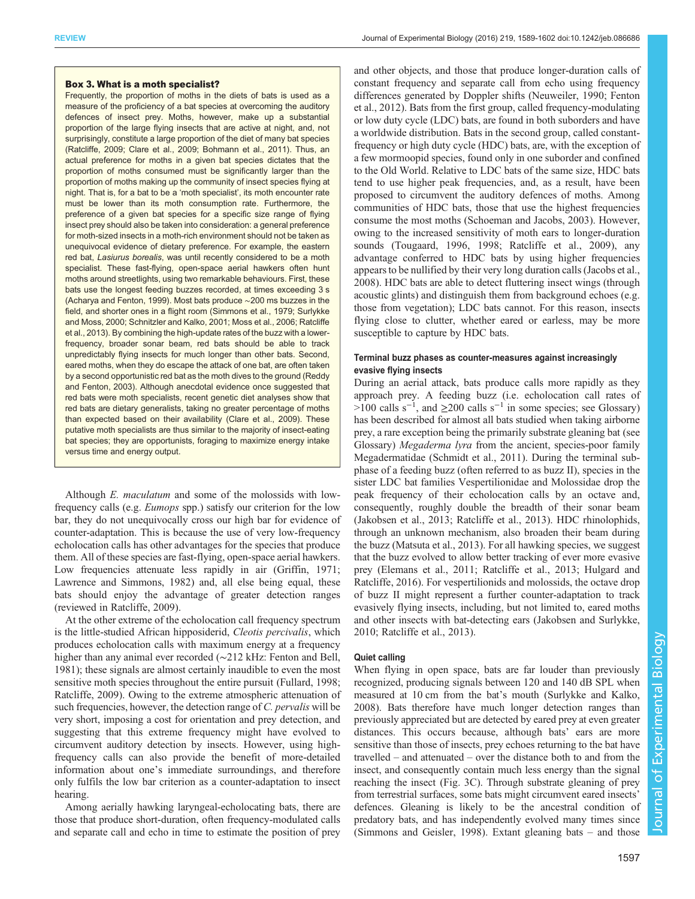#### <span id="page-9-0"></span>Box 3. What is a moth specialist?

Frequently, the proportion of moths in the diets of bats is used as a measure of the proficiency of a bat species at overcoming the auditory defences of insect prey. Moths, however, make up a substantial proportion of the large flying insects that are active at night, and, not surprisingly, constitute a large proportion of the diet of many bat species ([Ratcliffe, 2009](#page-12-0); [Clare et al., 2009](#page-11-0); [Bohmann et al., 2011\)](#page-10-0). Thus, an actual preference for moths in a given bat species dictates that the proportion of moths consumed must be significantly larger than the proportion of moths making up the community of insect species flying at night. That is, for a bat to be a 'moth specialist', its moth encounter rate must be lower than its moth consumption rate. Furthermore, the preference of a given bat species for a specific size range of flying insect prey should also be taken into consideration: a general preference for moth-sized insects in a moth-rich environment should not be taken as unequivocal evidence of dietary preference. For example, the eastern red bat, Lasiurus borealis, was until recently considered to be a moth specialist. These fast-flying, open-space aerial hawkers often hunt moths around streetlights, using two remarkable behaviours. First, these bats use the longest feeding buzzes recorded, at times exceeding 3 s ([Acharya and Fenton, 1999\)](#page-10-0). Most bats produce ∼200 ms buzzes in the field, and shorter ones in a flight room [\(Simmons et al., 1979; Surlykke](#page-13-0) [and Moss, 2000; Schnitzler and Kalko, 2001;](#page-13-0) [Moss et al., 2006](#page-12-0); [Ratcliffe](#page-12-0) [et al., 2013\)](#page-12-0). By combining the high-update rates of the buzz with a lowerfrequency, broader sonar beam, red bats should be able to track unpredictably flying insects for much longer than other bats. Second, eared moths, when they do escape the attack of one bat, are often taken by a second opportunistic red bat as the moth dives to the ground [\(Reddy](#page-12-0) [and Fenton, 2003\)](#page-12-0). Although anecdotal evidence once suggested that red bats were moth specialists, recent genetic diet analyses show that red bats are dietary generalists, taking no greater percentage of moths than expected based on their availability ([Clare et al., 2009\)](#page-11-0). These putative moth specialists are thus similar to the majority of insect-eating bat species; they are opportunists, foraging to maximize energy intake versus time and energy output.

Although *E. maculatum* and some of the molossids with lowfrequency calls (e.g. Eumops spp.) satisfy our criterion for the low bar, they do not unequivocally cross our high bar for evidence of counter-adaptation. This is because the use of very low-frequency echolocation calls has other advantages for the species that produce them. All of these species are fast-flying, open-space aerial hawkers. Low frequencies attenuate less rapidly in air [\(Griffin, 1971](#page-11-0); [Lawrence and Simmons, 1982](#page-12-0)) and, all else being equal, these bats should enjoy the advantage of greater detection ranges (reviewed in [Ratcliffe, 2009](#page-12-0)).

At the other extreme of the echolocation call frequency spectrum is the little-studied African hipposiderid, Cleotis percivalis, which produces echolocation calls with maximum energy at a frequency higher than any animal ever recorded (∼212 kHz: [Fenton and Bell,](#page-11-0) [1981](#page-11-0)); these signals are almost certainly inaudible to even the most sensitive moth species throughout the entire pursuit ([Fullard, 1998](#page-11-0); [Ratcliffe, 2009\)](#page-12-0). Owing to the extreme atmospheric attenuation of such frequencies, however, the detection range of C. pervalis will be very short, imposing a cost for orientation and prey detection, and suggesting that this extreme frequency might have evolved to circumvent auditory detection by insects. However, using highfrequency calls can also provide the benefit of more-detailed information about one's immediate surroundings, and therefore only fulfils the low bar criterion as a counter-adaptation to insect hearing.

Among aerially hawking laryngeal-echolocating bats, there are those that produce short-duration, often frequency-modulated calls and separate call and echo in time to estimate the position of prey and other objects, and those that produce longer-duration calls of constant frequency and separate call from echo using frequency differences generated by Doppler shifts ([Neuweiler, 1990](#page-12-0); [Fenton](#page-11-0) [et al., 2012](#page-11-0)). Bats from the first group, called frequency-modulating or low duty cycle (LDC) bats, are found in both suborders and have a worldwide distribution. Bats in the second group, called constantfrequency or high duty cycle (HDC) bats, are, with the exception of a few mormoopid species, found only in one suborder and confined to the Old World. Relative to LDC bats of the same size, HDC bats tend to use higher peak frequencies, and, as a result, have been proposed to circumvent the auditory defences of moths. Among communities of HDC bats, those that use the highest frequencies consume the most moths [\(Schoeman and Jacobs, 2003](#page-13-0)). However, owing to the increased sensitivity of moth ears to longer-duration sounds ([Tougaard, 1996, 1998;](#page-13-0) [Ratcliffe et al., 2009](#page-12-0)), any advantage conferred to HDC bats by using higher frequencies appears to be nullified by their very long duration calls [\(Jacobs et al.,](#page-11-0) [2008\)](#page-11-0). HDC bats are able to detect fluttering insect wings (through acoustic glints) and distinguish them from background echoes (e.g. those from vegetation); LDC bats cannot. For this reason, insects flying close to clutter, whether eared or earless, may be more susceptible to capture by HDC bats.

## Terminal buzz phases as counter-measures against increasingly evasive flying insects

During an aerial attack, bats produce calls more rapidly as they approach prey. A feeding buzz (i.e. echolocation call rates of >100 calls s<sup>-1</sup>, and ≥200 calls s<sup>-1</sup> in some species; see Glossary) has been described for almost all bats studied when taking airborne prey, a rare exception being the primarily substrate gleaning bat (see Glossary) Megaderma lyra from the ancient, species-poor family Megadermatidae [\(Schmidt et al., 2011\)](#page-13-0). During the terminal subphase of a feeding buzz (often referred to as buzz II), species in the sister LDC bat families Vespertilionidae and Molossidae drop the peak frequency of their echolocation calls by an octave and, consequently, roughly double the breadth of their sonar beam [\(Jakobsen et al., 2013;](#page-11-0) [Ratcliffe et al., 2013\)](#page-12-0). HDC rhinolophids, through an unknown mechanism, also broaden their beam during the buzz ([Matsuta et al., 2013\)](#page-12-0). For all hawking species, we suggest that the buzz evolved to allow better tracking of ever more evasive prey ([Elemans et al., 2011](#page-11-0); [Ratcliffe et al., 2013](#page-12-0); [Hulgard and](#page-11-0) [Ratcliffe, 2016](#page-11-0)). For vespertilionids and molossids, the octave drop of buzz II might represent a further counter-adaptation to track evasively flying insects, including, but not limited to, eared moths and other insects with bat-detecting ears [\(Jakobsen and Surlykke,](#page-11-0) [2010;](#page-11-0) [Ratcliffe et al., 2013\)](#page-12-0).

#### Quiet calling

When flying in open space, bats are far louder than previously recognized, producing signals between 120 and 140 dB SPL when measured at 10 cm from the bat's mouth ([Surlykke and Kalko,](#page-13-0) [2008\)](#page-13-0). Bats therefore have much longer detection ranges than previously appreciated but are detected by eared prey at even greater distances. This occurs because, although bats' ears are more sensitive than those of insects, prey echoes returning to the bat have travelled – and attenuated – over the distance both to and from the insect, and consequently contain much less energy than the signal reaching the insect ([Fig. 3C](#page-5-0)). Through substrate gleaning of prey from terrestrial surfaces, some bats might circumvent eared insects' defences. Gleaning is likely to be the ancestral condition of predatory bats, and has independently evolved many times since [\(Simmons and Geisler, 1998\)](#page-13-0). Extant gleaning bats – and those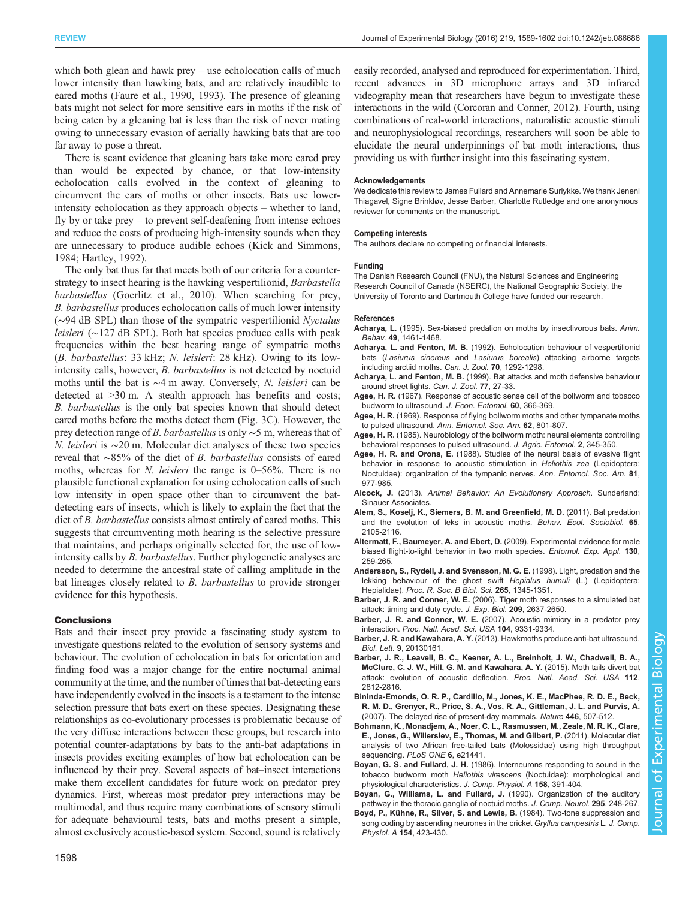<span id="page-10-0"></span>which both glean and hawk prey – use echolocation calls of much lower intensity than hawking bats, and are relatively inaudible to eared moths ([Faure et al., 1990, 1993\)](#page-11-0). The presence of gleaning bats might not select for more sensitive ears in moths if the risk of being eaten by a gleaning bat is less than the risk of never mating owing to unnecessary evasion of aerially hawking bats that are too far away to pose a threat.

There is scant evidence that gleaning bats take more eared prey than would be expected by chance, or that low-intensity echolocation calls evolved in the context of gleaning to circumvent the ears of moths or other insects. Bats use lowerintensity echolocation as they approach objects – whether to land, fly by or take prey – to prevent self-deafening from intense echoes and reduce the costs of producing high-intensity sounds when they are unnecessary to produce audible echoes [\(Kick and Simmons,](#page-12-0) [1984](#page-12-0); [Hartley, 1992](#page-11-0)).

The only bat thus far that meets both of our criteria for a counterstrategy to insect hearing is the hawking vespertilionid, Barbastella barbastellus ([Goerlitz et al., 2010](#page-11-0)). When searching for prey, B. barbastellus produces echolocation calls of much lower intensity (∼94 dB SPL) than those of the sympatric vespertilionid Nyctalus leisleri (∼127 dB SPL). Both bat species produce calls with peak frequencies within the best hearing range of sympatric moths (B. barbastellus: 33 kHz; N. leisleri: 28 kHz). Owing to its lowintensity calls, however, B. barbastellus is not detected by noctuid moths until the bat is ∼4 m away. Conversely, N. leisleri can be detected at  $>30$  m. A stealth approach has benefits and costs; B. barbastellus is the only bat species known that should detect eared moths before the moths detect them ([Fig. 3C](#page-5-0)). However, the prey detection range of B. barbastellus is only ∼5 m, whereas that of N. leisleri is ∼20 m. Molecular diet analyses of these two species reveal that ∼85% of the diet of B. barbastellus consists of eared moths, whereas for N. leisleri the range is 0–56%. There is no plausible functional explanation for using echolocation calls of such low intensity in open space other than to circumvent the batdetecting ears of insects, which is likely to explain the fact that the diet of *B*. *barbastellus* consists almost entirely of eared moths. This suggests that circumventing moth hearing is the selective pressure that maintains, and perhaps originally selected for, the use of lowintensity calls by B. barbastellus. Further phylogenetic analyses are needed to determine the ancestral state of calling amplitude in the bat lineages closely related to B. barbastellus to provide stronger evidence for this hypothesis.

#### **Conclusions**

Bats and their insect prey provide a fascinating study system to investigate questions related to the evolution of sensory systems and behaviour. The evolution of echolocation in bats for orientation and finding food was a major change for the entire nocturnal animal community at the time, and the number of times that bat-detecting ears have independently evolved in the insects is a testament to the intense selection pressure that bats exert on these species. Designating these relationships as co-evolutionary processes is problematic because of the very diffuse interactions between these groups, but research into potential counter-adaptations by bats to the anti-bat adaptations in insects provides exciting examples of how bat echolocation can be influenced by their prey. Several aspects of bat–insect interactions make them excellent candidates for future work on predator–prey dynamics. First, whereas most predator–prey interactions may be multimodal, and thus require many combinations of sensory stimuli for adequate behavioural tests, bats and moths present a simple, almost exclusively acoustic-based system. Second, sound is relatively

easily recorded, analysed and reproduced for experimentation. Third, recent advances in 3D microphone arrays and 3D infrared videography mean that researchers have begun to investigate these interactions in the wild ([Corcoran and Conner, 2012](#page-11-0)). Fourth, using combinations of real-world interactions, naturalistic acoustic stimuli and neurophysiological recordings, researchers will soon be able to elucidate the neural underpinnings of bat–moth interactions, thus providing us with further insight into this fascinating system.

#### Acknowledgements

We dedicate this review to James Fullard and Annemarie Surlykke. We thank Jeneni Thiagavel, Signe Brinkløv, Jesse Barber, Charlotte Rutledge and one anonymous reviewer for comments on the manuscript.

#### Competing interests

The authors declare no competing or financial interests.

#### Funding

The Danish Research Council (FNU), the Natural Sciences and Engineering Research Council of Canada (NSERC), the National Geographic Society, the University of Toronto and Dartmouth College have funded our research.

#### References

- Acharya, L. [\(1995\). Sex-biased predation on moths by insectivorous bats.](http://dx.doi.org/10.1016/0003-3472(95)90067-5) Anim. Behav. 49[, 1461-1468.](http://dx.doi.org/10.1016/0003-3472(95)90067-5)
- Acharya, L. and Fenton, M. B. [\(1992\). Echolocation behaviour of vespertilionid](http://dx.doi.org/10.1139/z92-180) bats (Lasiurus cinereus and Lasiurus borealis[\) attacking airborne targets](http://dx.doi.org/10.1139/z92-180) [including arctiid moths.](http://dx.doi.org/10.1139/z92-180) Can. J. Zool. 70, 1292-1298.
- Acharya, L. and Fenton, M. B. [\(1999\). Bat attacks and moth defensive behaviour](http://dx.doi.org/10.1139/z98-202) [around street lights.](http://dx.doi.org/10.1139/z98-202) Can. J. Zool. 77, 27-33.
- Agee, H. R. [\(1967\). Response of acoustic sense cell of the bollworm and tobacco](http://dx.doi.org/10.1093/jee/60.2.366) [budworm to ultrasound.](http://dx.doi.org/10.1093/jee/60.2.366) J. Econ. Entomol. 60, 366-369.
- Agee, H. R. [\(1969\). Response of flying bollworm moths and other tympanate moths](http://dx.doi.org/10.1093/aesa/62.4.801) to pulsed ultrasound. [Ann. Entomol. Soc. Am.](http://dx.doi.org/10.1093/aesa/62.4.801) 62, 801-807.
- Agee, H. R. (1985). Neurobiology of the bollworm moth: neural elements controlling behavioral responses to pulsed ultrasound. J. Agric. Entomol. 2, 345-350.
- Agee, H. R. and Orona, E. [\(1988\). Studies of the neural basis of evasive flight](http://dx.doi.org/10.1093/aesa/81.6.977) [behavior in response to acoustic stimulation in](http://dx.doi.org/10.1093/aesa/81.6.977) Heliothis zea (Lepidoptera: [Noctuidae\): organization of the tympanic nerves.](http://dx.doi.org/10.1093/aesa/81.6.977) Ann. Entomol. Soc. Am. 81. [977-985.](http://dx.doi.org/10.1093/aesa/81.6.977)
- Alcock, J. (2013). Animal Behavior: An Evolutionary Approach. Sunderland: Sinauer Associates.
- [Alem, S., Koselj, K., Siemers, B. M. and Greenfield, M. D.](http://dx.doi.org/10.1007/s00265-011-1219-x) (2011). Bat predation [and the evolution of leks in acoustic moths.](http://dx.doi.org/10.1007/s00265-011-1219-x) Behav. Ecol. Sociobiol. 65, [2105-2116.](http://dx.doi.org/10.1007/s00265-011-1219-x)
- [Altermatt, F., Baumeyer, A. and Ebert, D.](http://dx.doi.org/10.1111/j.1570-7458.2008.00817.x) (2009). Experimental evidence for male [biased flight-to-light behavior in two moth species.](http://dx.doi.org/10.1111/j.1570-7458.2008.00817.x) Entomol. Exp. Appl. 130, [259-265.](http://dx.doi.org/10.1111/j.1570-7458.2008.00817.x)
- [Andersson, S., Rydell, J. and Svensson, M. G. E.](http://dx.doi.org/10.1098/rspb.1998.0440) (1998). Light, predation and the [lekking behaviour of the ghost swift](http://dx.doi.org/10.1098/rspb.1998.0440) Hepialus humuli (L.) (Lepidoptera: Hepialidae). [Proc. R. Soc. B Biol. Sci.](http://dx.doi.org/10.1098/rspb.1998.0440) 265, 1345-1351.
- Barber, J. R. and Conner, W. E. [\(2006\). Tiger moth responses to a simulated bat](http://dx.doi.org/10.1242/jeb.02295) [attack: timing and duty cycle.](http://dx.doi.org/10.1242/jeb.02295) J. Exp. Biol. 209, 2637-2650.
- Barber, J. R. and Conner, W. E. [\(2007\). Acoustic mimicry in a predator prey](http://dx.doi.org/10.1073/pnas.0703627104) interaction. [Proc. Natl. Acad. Sci. USA](http://dx.doi.org/10.1073/pnas.0703627104) 104, 9331-9334.
- Barber, J. R. and Kawahara, A. Y. [\(2013\). Hawkmoths produce anti-bat ultrasound.](http://dx.doi.org/10.1098/rsbl.2013.0161) Biol. Lett. 9[, 20130161.](http://dx.doi.org/10.1098/rsbl.2013.0161)
- [Barber, J. R., Leavell, B. C., Keener, A. L., Breinholt, J. W., Chadwell, B. A.,](http://dx.doi.org/10.1073/pnas.1421926112) [McClure, C. J. W., Hill, G. M. and Kawahara, A. Y.](http://dx.doi.org/10.1073/pnas.1421926112) (2015). Moth tails divert bat [attack: evolution of acoustic deflection.](http://dx.doi.org/10.1073/pnas.1421926112) Proc. Natl. Acad. Sci. USA 112, [2812-2816.](http://dx.doi.org/10.1073/pnas.1421926112)
- [Bininda-Emonds, O. R. P., Cardillo, M., Jones, K. E., MacPhee, R. D. E., Beck,](http://dx.doi.org/10.1038/nature05634) [R. M. D., Grenyer, R., Price, S. A., Vos, R. A., Gittleman, J. L. and Purvis, A.](http://dx.doi.org/10.1038/nature05634) [\(2007\). The delayed rise of present-day mammals.](http://dx.doi.org/10.1038/nature05634) Nature 446, 507-512.
- [Bohmann, K., Monadjem, A., Noer, C. L., Rasmussen, M., Zeale, M. R. K., Clare,](http://dx.doi.org/10.1371/journal.pone.0021441) [E., Jones, G., Willerslev, E., Thomas, M. and Gilbert, P.](http://dx.doi.org/10.1371/journal.pone.0021441) (2011). Molecular diet [analysis of two African free-tailed bats \(Molossidae\) using high throughput](http://dx.doi.org/10.1371/journal.pone.0021441) [sequencing.](http://dx.doi.org/10.1371/journal.pone.0021441) PLoS ONE 6, e21441.
- Boyan, G. S. and Fullard, J. H. [\(1986\). Interneurons responding to sound in the](http://dx.doi.org/10.1007/BF00603623) tobacco budworm moth Heliothis virescens [\(Noctuidae\): morphological and](http://dx.doi.org/10.1007/BF00603623) [physiological characteristics.](http://dx.doi.org/10.1007/BF00603623) J. Comp. Physiol. A 158, 391-404.
- [Boyan, G., Williams, L. and Fullard, J.](http://dx.doi.org/10.1002/cne.902950208) (1990). Organization of the auditory [pathway in the thoracic ganglia of noctuid moths.](http://dx.doi.org/10.1002/cne.902950208) J. Comp. Neurol. 295, 248-267.
- Boyd, P., Kühne, R., Silver, S. and Lewis, B. [\(1984\). Two-tone suppression and](http://dx.doi.org/10.1007/BF00605241) [song coding by ascending neurones in the cricket](http://dx.doi.org/10.1007/BF00605241) Gryllus campestris L. J. Comp. Physiol. A 154[, 423-430.](http://dx.doi.org/10.1007/BF00605241)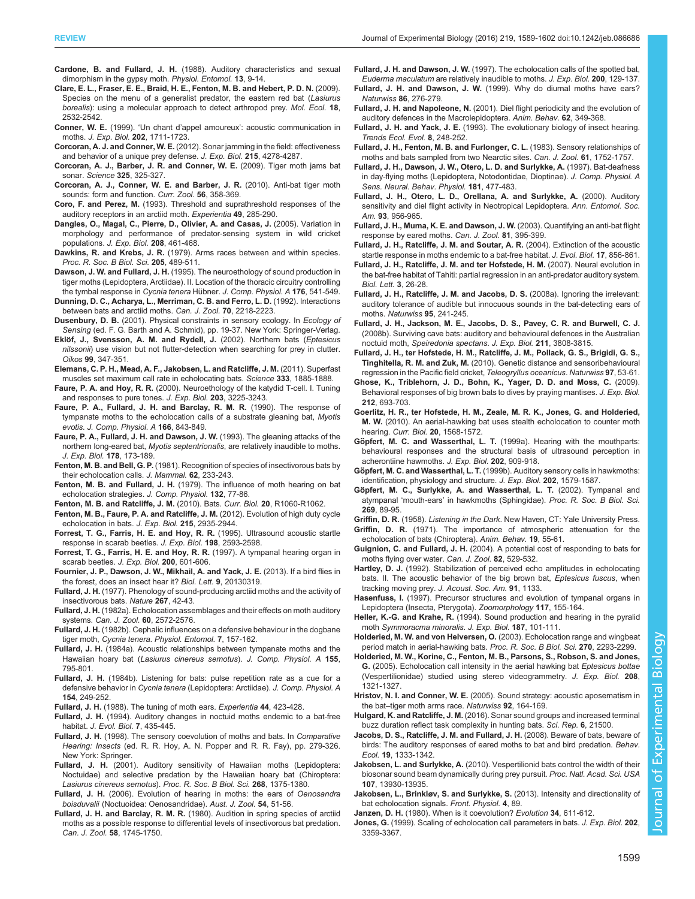- <span id="page-11-0"></span>[Clare, E. L., Fraser, E. E., Braid, H. E., Fenton, M. B. and Hebert, P. D. N.](http://dx.doi.org/10.1111/j.1365-294X.2009.04184.x) (2009). [Species on the menu of a generalist predator, the eastern red bat \(](http://dx.doi.org/10.1111/j.1365-294X.2009.04184.x)Lasiurus borealis[\): using a molecular approach to detect arthropod prey.](http://dx.doi.org/10.1111/j.1365-294X.2009.04184.x) Mol. Ecol. 18, [2532-2542.](http://dx.doi.org/10.1111/j.1365-294X.2009.04184.x)
- Conner, W. E. (1999). 'Un chant d'appel amoureux': acoustic communication in moths. J. Exp. Biol. 202, 1711-1723.
- Corcoran, A. J. and Conner, W. E. [\(2012\). Sonar jamming in the field: effectiveness](http://dx.doi.org/10.1242/jeb.076943) [and behavior of a unique prey defense.](http://dx.doi.org/10.1242/jeb.076943) J. Exp. Biol. 215, 4278-4287.
- [Corcoran, A. J., Barber, J. R. and Conner, W. E.](http://dx.doi.org/10.1126/science.1174096) (2009). Tiger moth jams bat sonar. Science 325[, 325-327.](http://dx.doi.org/10.1126/science.1174096)
- Corcoran, A. J., Conner, W. E. and Barber, J. R. (2010). Anti-bat tiger moth sounds: form and function. Curr. Zool. 56, 358-369.
- Coro, F. and Perez, M. [\(1993\). Threshold and suprathreshold responses of the](http://dx.doi.org/10.1007/BF01923403) [auditory receptors in an arctiid moth.](http://dx.doi.org/10.1007/BF01923403) Experientia 49, 285-290.
- [Dangles, O., Magal, C., Pierre, D., Olivier, A. and Casas, J.](http://dx.doi.org/10.1242/jeb.01369) (2005). Variation in [morphology and performance of predator-sensing system in wild cricket](http://dx.doi.org/10.1242/jeb.01369) [populations.](http://dx.doi.org/10.1242/jeb.01369) J. Exp. Biol. 208, 461-468.
- Dawkins, R. and Krebs, J. R. [\(1979\). Arms races between and within species.](http://dx.doi.org/10.1098/rspb.1979.0081) [Proc. R. Soc. B Biol. Sci.](http://dx.doi.org/10.1098/rspb.1979.0081) 205, 489-511.
- Dawson, J. W. and Fullard, J. H. [\(1995\). The neuroethology of sound production in](http://dx.doi.org/10.1007/BF00196419) [tiger moths \(Lepidoptera, Arctiidae\). II. Location of the thoracic circuitry controlling](http://dx.doi.org/10.1007/BF00196419) [the tymbal response in](http://dx.doi.org/10.1007/BF00196419) Cycnia tenera Hübner. J. Comp. Physiol. A 176, 541-549.
- [Dunning, D. C., Acharya, L., Merriman, C. B. and Ferro, L. D.](http://dx.doi.org/10.1139/z92-298) (1992). Interactions [between bats and arctiid moths.](http://dx.doi.org/10.1139/z92-298) Can. J. Zool. 70, 2218-2223.
- Dusenbury, D. B. (2001). Physical constraints in sensory ecology. In Ecology of Sensing (ed. F. G. Barth and A. Schmid), pp. 19-37. New York: Springer-Verlag.
- Eklö[f, J., Svensson, A. M. and Rydell, J.](http://dx.doi.org/10.1034/j.1600-0706.2002.990216.x) (2002). Northern bats (Eptesicus nilssonii[\) use vision but not flutter-detection when searching for prey in clutter.](http://dx.doi.org/10.1034/j.1600-0706.2002.990216.x) Oikos 99[, 347-351.](http://dx.doi.org/10.1034/j.1600-0706.2002.990216.x)
- [Elemans, C. P. H., Mead, A. F., Jakobsen, L. and Ratcliffe, J. M.](http://dx.doi.org/10.1126/science.1207309) (2011). Superfast [muscles set maximum call rate in echolocating bats.](http://dx.doi.org/10.1126/science.1207309) Science 333, 1885-1888.
- Faure, P. A. and Hoy, R. R. (2000). Neuroethology of the katydid T-cell. I. Tuning and responses to pure tones. J. Exp. Biol. 203, 3225-3243.
- [Faure, P. A., Fullard, J. H. and Barclay, R. M. R.](http://dx.doi.org/10.1007/BF00187331) (1990). The response of [tympanate moths to the echolocation calls of a substrate gleaning bat,](http://dx.doi.org/10.1007/BF00187331) Myotis [evotis. J. Comp. Physiol. A](http://dx.doi.org/10.1007/BF00187331) 166, 843-849.
- Faure, P. A., Fullard, J. H. and Dawson, J. W. (1993). The gleaning attacks of the northern long-eared bat, Myotis septentrionalis, are relatively inaudible to moths. J. Exp. Biol. 178, 173-189.
- Fenton, M. B. and Bell, G. P. [\(1981\). Recognition of species of insectivorous bats by](http://dx.doi.org/10.2307/1380701) [their echolocation calls.](http://dx.doi.org/10.2307/1380701) J. Mammal. 62, 233-243.
- Fenton, M. B. and Fullard, J. H. [\(1979\). The influence of moth hearing on bat](http://dx.doi.org/10.1007/BF00617734) [echolocation strategies.](http://dx.doi.org/10.1007/BF00617734) J. Comp. Physiol. 132, 77-86.
- [Fenton, M. B. and Ratcliffe, J. M.](http://dx.doi.org/10.1016/j.cub.2010.10.037) (2010). Bats. Curr. Biol. 20, R1060-R1062.
- [Fenton, M. B., Faure, P. A. and Ratcliffe, J. M.](http://dx.doi.org/10.1242/jeb.073171) (2012). Evolution of high duty cycle
- [echolocation in bats.](http://dx.doi.org/10.1242/jeb.073171) J. Exp. Biol. 215, 2935-2944. Forrest, T. G., Farris, H. E. and Hoy, R. R. (1995). Ultrasound acoustic startle
- response in scarab beetles. J. Exp. Biol. 198, 2593-2598. Forrest, T. G., Farris, H. E. and Hoy, R. R. (1997). A tympanal hearing organ in
- scarab beetles. J. Exp. Biol. 200, 601-606. [Fournier, J. P., Dawson, J. W., Mikhail, A. and Yack, J. E.](http://dx.doi.org/10.1098/rsbl.2013.0319) (2013). If a bird flies in
- [the forest, does an insect hear it?](http://dx.doi.org/10.1098/rsbl.2013.0319) Biol. Lett. 9, 20130319. Fullard, J. H. [\(1977\). Phenology of sound-producing arctiid moths and the activity of](http://dx.doi.org/10.1038/267042a0)
- [insectivorous bats.](http://dx.doi.org/10.1038/267042a0) Nature 267, 42-43. Fullard, J. H. [\(1982a\). Echolocation assemblages and their effects on moth auditory](http://dx.doi.org/10.1139/z82-330)
- systems. [Can. J. Zool.](http://dx.doi.org/10.1139/z82-330) 60, 2572-2576.
- Fullard, J. H. [\(1982b\). Cephalic influences on a defensive behaviour in the dogbane](http://dx.doi.org/10.1111/j.1365-3032.1982.tb00284.x) tiger moth, Cycnia tenera. [Physiol. Entomol.](http://dx.doi.org/10.1111/j.1365-3032.1982.tb00284.x) 7, 157-162.
- Fullard, J. H. [\(1984a\). Acoustic relationships between tympanate moths and the](http://dx.doi.org/10.1007/BF00611596) Hawaiian hoary bat ([Lasiurus cinereus semotus](http://dx.doi.org/10.1007/BF00611596)). J. Comp. Physiol. A 155, [795-801.](http://dx.doi.org/10.1007/BF00611596)
- Fullard, J. H. [\(1984b\). Listening for bats: pulse repetition rate as a cue for a](http://dx.doi.org/10.1007/BF00604990) defensive behavior in Cycnia tenera [\(Lepidoptera: Arctiidae\).](http://dx.doi.org/10.1007/BF00604990) J. Comp. Physiol. A 154[, 249-252.](http://dx.doi.org/10.1007/BF00604990)
- Fullard, J. H. [\(1988\). The tuning of moth ears.](http://dx.doi.org/10.1007/BF01940537) Experientia 44, 423-428.
- Fullard, J. H. [\(1994\). Auditory changes in noctuid moths endemic to a bat-free](http://dx.doi.org/10.1046/j.1420-9101.1994.7040435.x) habitat. [J. Evol. Biol.](http://dx.doi.org/10.1046/j.1420-9101.1994.7040435.x) 7, 435-445.
- Fullard, J. H. (1998). The sensory coevolution of moths and bats. In Comparative Hearing: Insects (ed. R. R. Hoy, A. N. Popper and R. R. Fay), pp. 279-326. New York: Springer.
- Fullard, J. H. [\(2001\). Auditory sensitivity of Hawaiian moths \(Lepidoptera:](http://dx.doi.org/10.1098/rspb.2001.1664) [Noctuidae\) and selective predation by the Hawaiian hoary bat \(Chiroptera:](http://dx.doi.org/10.1098/rspb.2001.1664) [Lasiurus cinereus semotus](http://dx.doi.org/10.1098/rspb.2001.1664)). Proc. R. Soc. B Biol. Sci. 268, 1375-1380.
- Fullard, J. H. [\(2006\). Evolution of hearing in moths: the ears of](http://dx.doi.org/10.1071/ZO05066) Oenosandra boisduvalii [\(Noctuoidea: Oenosandridae\).](http://dx.doi.org/10.1071/ZO05066) Aust. J. Zool. 54, 51-56.
- Fullard, J. H. and Barclay, R. M. R. [\(1980\). Audition in spring species of arctiid](http://dx.doi.org/10.1139/z80-241) [moths as a possible response to differential levels of insectivorous bat predation.](http://dx.doi.org/10.1139/z80-241) [Can. J. Zool.](http://dx.doi.org/10.1139/z80-241) 58, 1745-1750.
- Fullard, J. H. and Dawson, J. W. (1997). The echolocation calls of the spotted bat, Euderma maculatum are relatively inaudible to moths. J. Exp. Biol. 200, 129-137.
- Fullard, J. H. and Dawson, J. W. [\(1999\). Why do diurnal moths have ears?](http://dx.doi.org/10.1007/s001140050613) Naturwiss 86[, 276-279.](http://dx.doi.org/10.1007/s001140050613)
- Fullard, J. H. and Napoleone, N. [\(2001\). Diel flight periodicity and the evolution of](http://dx.doi.org/10.1006/anbe.2001.1753) [auditory defences in the Macrolepidoptera.](http://dx.doi.org/10.1006/anbe.2001.1753) Anim. Behav. 62, 349-368.
- Fullard, J. H. and Yack, J. E. [\(1993\). The evolutionary biology of insect hearing.](http://dx.doi.org/10.1016/0169-5347(93)90200-9) [Trends Ecol. Evol.](http://dx.doi.org/10.1016/0169-5347(93)90200-9) 8, 248-252.
- [Fullard, J. H., Fenton, M. B. and Furlonger, C. L.](http://dx.doi.org/10.1139/z83-226) (1983). Sensory relationships of [moths and bats sampled from two Nearctic sites.](http://dx.doi.org/10.1139/z83-226) Can. J. Zool. 61, 1752-1757.
- [Fullard, J. H., Dawson, J. W., Otero, L. D. and Surlykke, A.](http://dx.doi.org/10.1007/s003590050131) (1997). Bat-deafness [in day-flying moths \(Lepidoptera, Notodontidae, Dioptinae\).](http://dx.doi.org/10.1007/s003590050131) J. Comp. Physiol. A [Sens. Neural. Behav. Physiol.](http://dx.doi.org/10.1007/s003590050131) 181, 477-483.
- [Fullard, J. H., Otero, L. D., Orellana, A. and Surlykke, A.](http://dx.doi.org/10.1603/0013-8746(2000)093[0956:ASADFA]2.0.CO;2) (2000). Auditory [sensitivity and diel flight activity in Neotropical Lepidoptera.](http://dx.doi.org/10.1603/0013-8746(2000)093[0956:ASADFA]2.0.CO;2) Ann. Entomol. Soc. Am. 93[, 956-965.](http://dx.doi.org/10.1603/0013-8746(2000)093[0956:ASADFA]2.0.CO;2)
- [Fullard, J. H., Muma, K. E. and Dawson, J. W.](http://dx.doi.org/10.1139/z03-019) (2003). Quantifying an anti-bat flight [response by eared moths.](http://dx.doi.org/10.1139/z03-019) Can. J. Zool. 81, 395-399.
- [Fullard, J. H., Ratcliffe, J. M. and Soutar, A. R.](http://dx.doi.org/10.1111/j.1420-9101.2004.00722.x) (2004). Extinction of the acoustic [startle response in moths endemic to a bat-free habitat.](http://dx.doi.org/10.1111/j.1420-9101.2004.00722.x) J. Evol. Biol. 17, 856-861.
- [Fullard, J. H., Ratcliffe, J. M. and ter Hofstede, H. M.](http://dx.doi.org/10.1098/rsbl.2006.0550) (2007). Neural evolution in [the bat-free habitat of Tahiti: partial regression in an anti-predator auditory system.](http://dx.doi.org/10.1098/rsbl.2006.0550) [Biol. Lett.](http://dx.doi.org/10.1098/rsbl.2006.0550) 3, 26-28.
- [Fullard, J. H., Ratcliffe, J. M. and Jacobs, D. S.](http://dx.doi.org/10.1007/s00114-007-0323-2) (2008a). Ignoring the irrelevant: [auditory tolerance of audible but innocuous sounds in the bat-detecting ears of](http://dx.doi.org/10.1007/s00114-007-0323-2) moths. [Naturwiss](http://dx.doi.org/10.1007/s00114-007-0323-2) 95, 241-245.
- [Fullard, J. H., Jackson, M. E., Jacobs, D. S., Pavey, C. R. and Burwell, C. J.](http://dx.doi.org/10.1242/jeb.023978) [\(2008b\). Surviving cave bats: auditory and behavioural defences in the Australian](http://dx.doi.org/10.1242/jeb.023978) noctuid moth, [Speiredonia spectans](http://dx.doi.org/10.1242/jeb.023978). J. Exp. Biol. 211, 3808-3815.
- [Fullard, J. H., ter Hofstede, H. M., Ratcliffe, J. M., Pollack, G. S., Brigidi, G. S.,](http://dx.doi.org/10.1007/s00114-009-0610-1) Tinghitella, R. M. and Zuk, M. [\(2010\). Genetic distance and sensoribehavioural](http://dx.doi.org/10.1007/s00114-009-0610-1) [regression in the Pacific field cricket,](http://dx.doi.org/10.1007/s00114-009-0610-1) Teleogryllus oceanicus. Naturwiss 97, 53-61.
- [Ghose, K., Triblehorn, J. D., Bohn, K., Yager, D. D. and Moss, C.](http://dx.doi.org/10.1242/jeb.019380) (2009). [Behavioral responses of big brown bats to dives by praying mantises.](http://dx.doi.org/10.1242/jeb.019380) J. Exp. Biol. 212[, 693-703.](http://dx.doi.org/10.1242/jeb.019380)
- [Goerlitz, H. R., ter Hofstede, H. M., Zeale, M. R. K., Jones, G. and Holderied,](http://dx.doi.org/10.1016/j.cub.2010.07.046) M. W. [\(2010\). An aerial-hawking bat uses stealth echolocation to counter moth](http://dx.doi.org/10.1016/j.cub.2010.07.046) hearing. Curr. Biol. 20[, 1568-1572.](http://dx.doi.org/10.1016/j.cub.2010.07.046)
- Göpfert, M. C. and Wasserthal, L. T. (1999a). Hearing with the mouthparts: behavioural responses and the structural basis of ultrasound perception in acherontiine hawmoths. J. Exp. Biol. 202, 909-918.
- Göpfert, M. C. and Wasserthal, L. T. (1999b). Auditory sensory cells in hawkmoths: identification, physiology and structure. J. Exp. Biol. 202, 1579-1587.
- Gö[pfert, M. C., Surlykke, A. and Wasserthal, L. T.](http://dx.doi.org/10.1098/rspb.2001.1646) (2002). Tympanal and atympanal 'mouth-ears' [in hawkmoths \(Sphingidae\).](http://dx.doi.org/10.1098/rspb.2001.1646) Proc. R. Soc. B Biol. Sci. 269[, 89-95.](http://dx.doi.org/10.1098/rspb.2001.1646)
- Griffin, D. R. (1958). Listening in the Dark. New Haven, CT: Yale University Press. Griffin, D. R. [\(1971\). The importance of atmospheric attenuation for the](http://dx.doi.org/10.1016/S0003-3472(71)80134-3) [echolocation of bats \(Chiroptera\).](http://dx.doi.org/10.1016/S0003-3472(71)80134-3) Anim. Behav. 19, 55-61.
- Guignion, C. and Fullard, J. H. [\(2004\). A potential cost of responding to bats for](http://dx.doi.org/10.1139/z04-015) [moths flying over water.](http://dx.doi.org/10.1139/z04-015) Can. J. Zool. 82, 529-532.
- Hartley, D. J. [\(1992\). Stabilization of perceived echo amplitudes in echolocating](http://dx.doi.org/10.1121/1.402640) [bats. II. The acoustic behavior of the big brown bat,](http://dx.doi.org/10.1121/1.402640) Eptesicus fuscus, when [tracking moving prey.](http://dx.doi.org/10.1121/1.402640) J. Acoust. Soc. Am. 91, 1133.
- Hasenfuss, I. [\(1997\). Precursor structures and evolution of tympanal organs in](http://dx.doi.org/10.1007/s004350050040) [Lepidoptera \(Insecta, Pterygota\).](http://dx.doi.org/10.1007/s004350050040) Zoomorphology 117, 155-164.
- Heller, K.-G. and Krahe, R. (1994). Sound production and hearing in the pyralid moth Symmoracma minoralis. J. Exp. Biol. 187, 101-111.
- [Holderied, M. W. and von Helversen, O.](http://dx.doi.org/10.1098/rspb.2003.2487) (2003). Echolocation range and wingbeat [period match in aerial-hawking bats.](http://dx.doi.org/10.1098/rspb.2003.2487) Proc. R. Soc. B Biol. Sci. 270, 2293-2299.
- [Holderied, M. W., Korine, C., Fenton, M. B., Parsons, S., Robson, S. and Jones,](http://dx.doi.org/10.1242/jeb.01528) G. [\(2005\). Echolocation call intensity in the aerial hawking bat](http://dx.doi.org/10.1242/jeb.01528) Eptesicus bottae [\(Vespertilionidae\) studied using stereo videogrammetry.](http://dx.doi.org/10.1242/jeb.01528) J. Exp. Biol. 208, [1321-1327.](http://dx.doi.org/10.1242/jeb.01528)
- Hristov, N. I. and Conner, W. E. [\(2005\). Sound strategy: acoustic aposematism in](http://dx.doi.org/10.1007/s00114-005-0611-7) the bat-[tiger moth arms race.](http://dx.doi.org/10.1007/s00114-005-0611-7) Naturwiss 92, 164-169.
- Hulgard, K. and Ratcliffe, J. M. [\(2016\). Sonar sound groups and increased terminal](http://dx.doi.org/10.1038/srep21500) [buzz duration reflect task complexity in hunting bats.](http://dx.doi.org/10.1038/srep21500) Sci. Rep. 6, 21500.
- [Jacobs, D. S., Ratcliffe, J. M. and Fullard, J. H.](http://dx.doi.org/10.1093/beheco/arn071) (2008). Beware of bats, beware of [birds: The auditory responses of eared moths to bat and bird predation.](http://dx.doi.org/10.1093/beheco/arn071) Behav. Ecol. 19[, 1333-1342.](http://dx.doi.org/10.1093/beheco/arn071)
- Jakobsen, L. and Surlykke, A. [\(2010\). Vespertilionid bats control the width of their](http://dx.doi.org/10.1073/pnas.1006630107) [biosonar sound beam dynamically during prey pursuit.](http://dx.doi.org/10.1073/pnas.1006630107) Proc. Natl. Acad. Sci. USA 107[, 13930-13935.](http://dx.doi.org/10.1073/pnas.1006630107)
- [Jakobsen, L., Brinkløv, S. and Surlykke, S.](http://dx.doi.org/10.3389/fphys.2013.00089) (2013). Intensity and directionality of [bat echolocation signals.](http://dx.doi.org/10.3389/fphys.2013.00089) Front. Physiol. 4, 89.
- Janzen, D. H. [\(1980\). When is it coevolution?](http://dx.doi.org/10.2307/2408229) Evolution 34, 611-612.
- Jones, G. (1999). Scaling of echolocation call parameters in bats. J. Exp. Biol. 202, 3359-3367.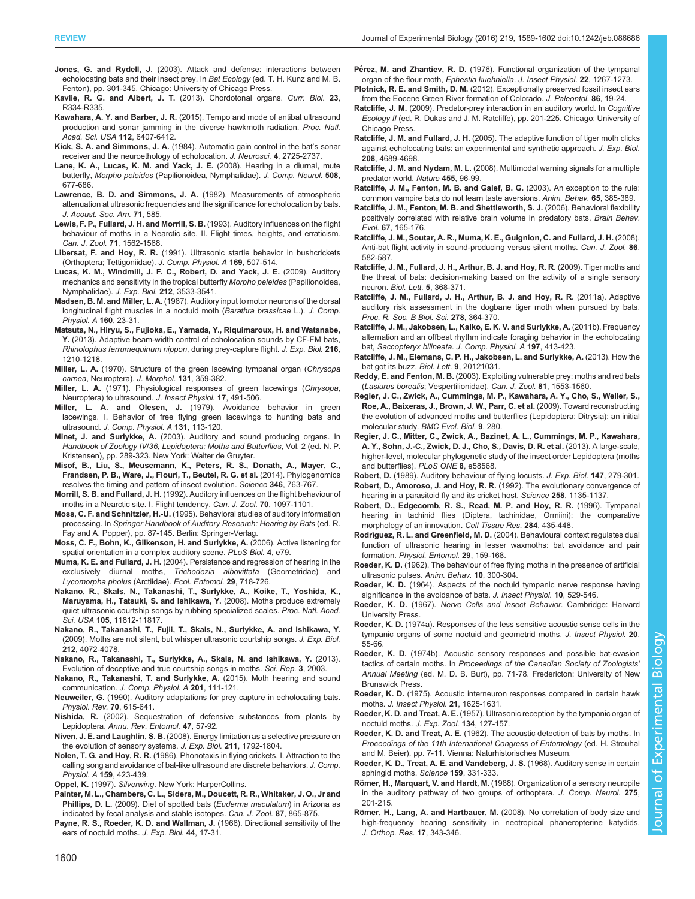- <span id="page-12-0"></span>Jones, G. and Rydell, J. (2003). Attack and defense: interactions between echolocating bats and their insect prey. In Bat Ecology (ed. T. H. Kunz and M. B. Fenton), pp. 301-345. Chicago: University of Chicago Press.
- [Kavlie, R. G. and Albert, J. T.](http://dx.doi.org/10.1016/j.cub.2013.03.048) (2013). Chordotonal organs. Curr. Biol. 23, [R334-R335.](http://dx.doi.org/10.1016/j.cub.2013.03.048)
- Kawahara, A. Y. and Barber, J. R. [\(2015\). Tempo and mode of antibat ultrasound](http://dx.doi.org/10.1073/pnas.1416679112) [production and sonar jamming in the diverse hawkmoth radiation.](http://dx.doi.org/10.1073/pnas.1416679112) Proc. Natl. [Acad. Sci. USA](http://dx.doi.org/10.1073/pnas.1416679112) 112, 6407-6412.
- Kick, S. A. and Simmons, J. A. (1984). Automatic gain control in the bat's sonar receiver and the neuroethology of echolocation. J. Neurosci. 4, 2725-2737.
- [Lane, K. A., Lucas, K. M. and Yack, J. E.](http://dx.doi.org/10.1002/cne.21675) (2008). Hearing in a diurnal, mute butterfly, Morpho peleides [\(Papilionoidea, Nymphalidae\).](http://dx.doi.org/10.1002/cne.21675) J. Comp. Neurol. 508, [677-686.](http://dx.doi.org/10.1002/cne.21675)
- [Lawrence, B. D. and Simmons, J. A.](http://dx.doi.org/10.1121/1.387529) (1982). Measurements of atmospheric [attenuation at ultrasonic frequencies and the significance for echolocation by bats.](http://dx.doi.org/10.1121/1.387529) [J. Acoust. Soc. Am.](http://dx.doi.org/10.1121/1.387529) 71, 585.
- [Lewis, F. P., Fullard, J. H. and Morrill, S. B.](http://dx.doi.org/10.1139/z93-221) (1993). Auditory influences on the flight [behaviour of moths in a Nearctic site. II. Flight times, heights, and erraticism.](http://dx.doi.org/10.1139/z93-221) [Can. J. Zool.](http://dx.doi.org/10.1139/z93-221) 71, 1562-1568.
- Libersat, F. and Hoy, R. R. [\(1991\). Ultrasonic startle behavior in bushcrickets](http://dx.doi.org/10.1007/BF00197663) [\(Orthoptera; Tettigoniidae\).](http://dx.doi.org/10.1007/BF00197663) J. Comp. Physiol. A 169, 507-514.
- [Lucas, K. M., Windmill, J. F. C., Robert, D. and Yack, J. E.](http://dx.doi.org/10.1242/jeb.032425) (2009). Auditory [mechanics and sensitivity in the tropical butterfly](http://dx.doi.org/10.1242/jeb.032425) Morpho peleides (Papilionoidea, [Nymphalidae\).](http://dx.doi.org/10.1242/jeb.032425) J. Exp. Biol. 212, 3533-3541.
- Madsen, B. M. and Miller, L. A. [\(1987\). Auditory input to motor neurons of the dorsal](http://dx.doi.org/10.1007/BF00613438) [longitudinal flight muscles in a noctuid moth \(](http://dx.doi.org/10.1007/BF00613438)Barathra brassicae L.). J. Comp. [Physiol. A](http://dx.doi.org/10.1007/BF00613438) 160, 23-31.
- [Matsuta, N., Hiryu, S., Fujioka, E., Yamada, Y., Riquimaroux, H. and Watanabe,](http://dx.doi.org/10.1242/jeb.081398) Y. [\(2013\). Adaptive beam-width control of echolocation sounds by CF-FM bats,](http://dx.doi.org/10.1242/jeb.081398) [Rhinolophus ferrumequinum nippon](http://dx.doi.org/10.1242/jeb.081398), during prey-capture flight. J. Exp. Biol. 216, [1210-1218.](http://dx.doi.org/10.1242/jeb.081398)
- Miller, L. A. [\(1970\). Structure of the green lacewing tympanal organ \(](http://dx.doi.org/10.1002/jmor.1051310402)Chrysopa carnea[, Neuroptera\).](http://dx.doi.org/10.1002/jmor.1051310402) J. Morphol. 131, 359-382.
- Miller, L. A. [\(1971\). Physiological responses of green lacewings \(](http://dx.doi.org/10.1016/0022-1910(71)90028-X)Chrysopa, [Neuroptera\) to ultrasound.](http://dx.doi.org/10.1016/0022-1910(71)90028-X) J. Insect Physiol. 17, 491-506.
- Miller, L. A. and Olesen, J. [\(1979\). Avoidance behavior in green](http://dx.doi.org/10.1007/BF00619071) [lacewings. I. Behavior of free flying green lacewings to hunting bats and](http://dx.doi.org/10.1007/BF00619071) ultrasound. [J. Comp. Physiol. A](http://dx.doi.org/10.1007/BF00619071) 131, 113-120.
- Minet, J. and Surlykke, A. (2003). Auditory and sound producing organs. In Handbook of Zoology IV/36, Lepidoptera: Moths and Butterflies, Vol. 2 (ed. N. P. Kristensen), pp. 289-323. New York: Walter de Gruyter.
- [Misof, B., Liu, S., Meusemann, K., Peters, R. S., Donath, A., Mayer, C.,](http://dx.doi.org/10.1126/science.1257570) [Frandsen, P. B., Ware, J., Flouri, T., Beutel, R. G. et al.](http://dx.doi.org/10.1126/science.1257570) (2014). Phylogenomics [resolves the timing and pattern of insect evolution.](http://dx.doi.org/10.1126/science.1257570) Science 346, 763-767
- Morrill, S. B. and Fullard, J. H. [\(1992\). Auditory influences on the flight behaviour of](http://dx.doi.org/10.1139/z92-153) [moths in a Nearctic site. I. Flight tendency.](http://dx.doi.org/10.1139/z92-153) Can. J. Zool. 70, 1097-1101.
- Moss, C. F. and Schnitzler, H.-U. (1995). Behavioral studies of auditory information processing. In Springer Handbook of Auditory Research: Hearing by Bats (ed. R. Fay and A. Popper), pp. 87-145. Berlin: Springer-Verlag.
- [Moss, C. F., Bohn, K., Gilkenson, H. and Surlykke, A.](http://dx.doi.org/10.1371/journal.pbio.0040079) (2006). Active listening for [spatial orientation in a complex auditory scene.](http://dx.doi.org/10.1371/journal.pbio.0040079) PLoS Biol. 4, e79.
- Muma, K. E. and Fullard, J. H. [\(2004\). Persistence and regression of hearing in the](http://dx.doi.org/10.1111/j.0307-6946.2004.00655.x) [exclusively diurnal moths,](http://dx.doi.org/10.1111/j.0307-6946.2004.00655.x) Trichodezia albovittata (Geometridae) and [Lycomorpha pholus](http://dx.doi.org/10.1111/j.0307-6946.2004.00655.x) (Arctiidae). Ecol. Entomol. 29, 718-726.
- [Nakano, R., Skals, N., Takanashi, T., Surlykke, A., Koike, T., Yoshida, K.,](http://dx.doi.org/10.1073/pnas.0804056105) [Maruyama, H., Tatsuki, S. and Ishikawa, Y.](http://dx.doi.org/10.1073/pnas.0804056105) (2008). Moths produce extremely [quiet ultrasonic courtship songs by rubbing specialized scales.](http://dx.doi.org/10.1073/pnas.0804056105) Proc. Natl. Acad. Sci. USA 105[, 11812-11817.](http://dx.doi.org/10.1073/pnas.0804056105)
- [Nakano, R., Takanashi, T., Fujii, T., Skals, N., Surlykke, A. and Ishikawa, Y.](http://dx.doi.org/10.1242/jeb.032466) [\(2009\). Moths are not silent, but whisper ultrasonic courtship songs.](http://dx.doi.org/10.1242/jeb.032466) J. Exp. Biol. 212[, 4072-4078.](http://dx.doi.org/10.1242/jeb.032466)
- [Nakano, R., Takanashi, T., Surlykke, A., Skals, N. and Ishikawa, Y.](http://dx.doi.org/10.1038/srep02003) (2013). [Evolution of deceptive and true courtship songs in moths.](http://dx.doi.org/10.1038/srep02003) Sci. Rep. 3, 2003.
- [Nakano, R., Takanashi, T. and Surlykke, A.](http://dx.doi.org/10.1007/s00359-014-0945-8) (2015). Moth hearing and sound communication. [J. Comp. Physiol. A](http://dx.doi.org/10.1007/s00359-014-0945-8) 201, 111-121.
- Neuweiler, G. (1990). Auditory adaptations for prey capture in echolocating bats. Physiol. Rev. 70, 615-641.
- Nishida, R. [\(2002\). Sequestration of defensive substances from plants by](http://dx.doi.org/10.1146/annurev.ento.47.091201.145121) Lepidoptera. [Annu. Rev. Entomol.](http://dx.doi.org/10.1146/annurev.ento.47.091201.145121) 47, 57-92.
- Niven, J. E. and Laughlin, S. B. [\(2008\). Energy limitation as a selective pressure on](http://dx.doi.org/10.1242/jeb.017574) [the evolution of sensory systems.](http://dx.doi.org/10.1242/jeb.017574) J. Exp. Biol. 211, 1792-1804.
- Nolen, T. G. and Hoy, R. R. [\(1986\). Phonotaxis in flying crickets. I. Attraction to the](http://dx.doi.org/10.1007/BF00604163) [calling song and avoidance of bat-like ultrasound are discrete behaviors.](http://dx.doi.org/10.1007/BF00604163) J. Comp. Physiol. A 159[, 423-439.](http://dx.doi.org/10.1007/BF00604163)

Oppel, K. (1997). Silverwing. New York: HarperCollins.

- [Painter, M. L., Chambers, C. L., Siders, M., Doucett, R. R., Whitaker, J. O., Jr and](http://dx.doi.org/10.1139/Z09-075) Phillips, D. L. [\(2009\). Diet of spotted bats \(](http://dx.doi.org/10.1139/Z09-075)*Euderma maculatum*) in Arizona as [indicated by fecal analysis and stable isotopes.](http://dx.doi.org/10.1139/Z09-075) Can. J. Zool. 87, 865-875.
- Payne, R. S., Roeder, K. D. and Wallman, J. (1966). Directional sensitivity of the ears of noctuid moths. J. Exp. Biol. 44, 17-31.
- Pérez, M. and Zhantiev, R. D. [\(1976\). Functional organization of the tympanal](http://dx.doi.org/10.1016/0022-1910(76)90105-0) [organ of the flour moth,](http://dx.doi.org/10.1016/0022-1910(76)90105-0) Ephestia kuehniella. J. Insect Physiol. 22, 1267-1273.
- Plotnick, R. E. and Smith, D. M. [\(2012\). Exceptionally preserved fossil insect ears](http://dx.doi.org/10.1666/11-072.1) [from the Eocene Green River formation of Colorado.](http://dx.doi.org/10.1666/11-072.1) J. Paleontol. 86, 19-24.
- Ratcliffe, J. M. (2009). Predator-prey interaction in an auditory world. In Cognitive Ecology II (ed. R. Dukas and J. M. Ratcliffe), pp. 201-225. Chicago: University of Chicago Press.
- Ratcliffe, J. M. and Fullard, J. H. [\(2005\). The adaptive function of tiger moth clicks](http://dx.doi.org/10.1242/jeb.01927) [against echolocating bats: an experimental and synthetic approach.](http://dx.doi.org/10.1242/jeb.01927) J. Exp. Biol. 208[, 4689-4698.](http://dx.doi.org/10.1242/jeb.01927)
- Ratcliffe, J. M. and Nydam, M. L. [\(2008\). Multimodal warning signals for a multiple](http://dx.doi.org/10.1038/nature07087) [predator world.](http://dx.doi.org/10.1038/nature07087) Nature 455, 96-99.
- [Ratcliffe, J. M., Fenton, M. B. and Galef, B. G.](http://dx.doi.org/10.1006/anbe.2003.2059) (2003). An exception to the rule: [common vampire bats do not learn taste aversions.](http://dx.doi.org/10.1006/anbe.2003.2059) Anim. Behav. 65, 385-389.
- [Ratcliffe, J. M., Fenton, M. B. and Shettleworth, S. J.](http://dx.doi.org/10.1159/000090980) (2006). Behavioral flexibility [positively correlated with relative brain volume in predatory bats.](http://dx.doi.org/10.1159/000090980) Brain Behav. Evol. 67[, 165-176.](http://dx.doi.org/10.1159/000090980)
- [Ratcliffe, J. M., Soutar, A. R., Muma, K. E., Guignion, C. and Fullard, J. H.](http://dx.doi.org/10.1139/Z08-024) (2008). [Anti-bat flight activity in sound-producing versus silent moths.](http://dx.doi.org/10.1139/Z08-024) Can. J. Zool. 86, [582-587.](http://dx.doi.org/10.1139/Z08-024)
- [Ratcliffe, J. M., Fullard, J. H., Arthur, B. J. and Hoy, R. R.](http://dx.doi.org/10.1098/rsbl.2009.0079) (2009). Tiger moths and [the threat of bats: decision-making based on the activity of a single sensory](http://dx.doi.org/10.1098/rsbl.2009.0079) neuron. Biol. Lett. 5[, 368-371.](http://dx.doi.org/10.1098/rsbl.2009.0079)
- [Ratcliffe, J. M., Fullard, J. H., Arthur, B. J. and Hoy, R. R.](http://dx.doi.org/10.1098/rspb.2010.1488) (2011a). Adaptive [auditory risk assessment in the dogbane tiger moth when pursued by bats.](http://dx.doi.org/10.1098/rspb.2010.1488) [Proc. R. Soc. B Biol. Sci.](http://dx.doi.org/10.1098/rspb.2010.1488) 278, 364-370.
- [Ratcliffe, J. M., Jakobsen, L., Kalko, E. K. V. and Surlykke, A.](http://dx.doi.org/10.1007/s00359-011-0630-0) (2011b). Frequency [alternation and an offbeat rhythm indicate foraging behavior in the echolocating](http://dx.doi.org/10.1007/s00359-011-0630-0) bat, [Saccopteryx bilineata](http://dx.doi.org/10.1007/s00359-011-0630-0). J. Comp. Physiol. A 197, 413-423.
- [Ratcliffe, J. M., Elemans, C. P. H., Jakobsen, L. and Surlykke, A.](http://dx.doi.org/10.1098/rsbl.2012.1031) (2013). How the [bat got its buzz.](http://dx.doi.org/10.1098/rsbl.2012.1031) Biol. Lett. 9, 20121031.
- Reddy, E. and Fenton, M. B. [\(2003\). Exploiting vulnerable prey: moths and red bats](http://dx.doi.org/10.1139/z03-146) (Lasiurus borealis[; Vespertilionidae\).](http://dx.doi.org/10.1139/z03-146) Can. J. Zool. 81, 1553-1560.
- [Regier, J. C., Zwick, A., Cummings, M. P., Kawahara, A. Y., Cho, S., Weller, S.,](http://dx.doi.org/10.1186/1471-2148-9-280) [Roe, A., Baixeras, J., Brown, J. W., Parr, C. et al.](http://dx.doi.org/10.1186/1471-2148-9-280) (2009). Toward reconstructing the [evolution of advanced moths and butterflies \(Lepidoptera: Ditrysia\): an initial](http://dx.doi.org/10.1186/1471-2148-9-280) [molecular study.](http://dx.doi.org/10.1186/1471-2148-9-280) BMC Evol. Biol. 9, 280.
- [Regier, J. C., Mitter, C., Zwick, A., Bazinet, A. L., Cummings, M. P., Kawahara,](http://dx.doi.org/10.1371/journal.pone.0058568) [A. Y., Sohn, J.-C., Zwick, D. J., Cho, S., Davis, D. R. et al.](http://dx.doi.org/10.1371/journal.pone.0058568) (2013). A large-scale, [higher-level, molecular phylogenetic study of the insect order Lepidoptera \(moths](http://dx.doi.org/10.1371/journal.pone.0058568) [and butterflies\).](http://dx.doi.org/10.1371/journal.pone.0058568) PLoS ONE 8, e58568.
- Robert, D. (1989). Auditory behaviour of flying locusts. J. Exp. Biol. 147, 279-301.
- [Robert, D., Amoroso, J. and Hoy, R. R.](http://dx.doi.org/10.1126/science.1439820) (1992). The evolutionary convergence of [hearing in a parasitoid fly and its cricket host.](http://dx.doi.org/10.1126/science.1439820) Science 258, 1135-1137.
- [Robert, D., Edgecomb, R. S., Read, M. P. and Hoy, R. R.](http://dx.doi.org/10.1007/s004410050604) (1996). Tympanal [hearing in tachinid flies \(Diptera, tachinidae, Ormiini\): the comparative](http://dx.doi.org/10.1007/s004410050604) [morphology of an innovation.](http://dx.doi.org/10.1007/s004410050604) Cell Tissue Res. 284, 435-448.
- Rodríguez, R. L. and Greenfield, M. D. [\(2004\). Behavioural context regulates dual](http://dx.doi.org/10.1111/j.1365-3032.2004.00380.x) [function of ultrasonic hearing in lesser waxmoths: bat avoidance and pair](http://dx.doi.org/10.1111/j.1365-3032.2004.00380.x) formation. [Physiol. Entomol.](http://dx.doi.org/10.1111/j.1365-3032.2004.00380.x) 29, 159-168.
- Roeder, K. D. [\(1962\). The behaviour of free flying moths in the presence of artificial](http://dx.doi.org/10.1016/0003-3472(62)90053-2) [ultrasonic pulses.](http://dx.doi.org/10.1016/0003-3472(62)90053-2) Anim. Behav. 10, 300-304.
- Roeder, K. D. [\(1964\). Aspects of the noctuid tympanic nerve response having](http://dx.doi.org/10.1016/0022-1910(64)90025-3) [significance in the avoidance of bats.](http://dx.doi.org/10.1016/0022-1910(64)90025-3) J. Insect Physiol. 10, 529-546.
- Roeder, K. D. (1967). Nerve Cells and Insect Behavior. Cambridge: Harvard University Press.
- Roeder, K. D. [\(1974a\). Responses of the less sensitive acoustic sense cells in the](http://dx.doi.org/10.1016/0022-1910(74)90123-1) [tympanic organs of some noctuid and geometrid moths.](http://dx.doi.org/10.1016/0022-1910(74)90123-1) J. Insect Physiol. 20, [55-66.](http://dx.doi.org/10.1016/0022-1910(74)90123-1)
- Roeder, K. D. (1974b). Acoustic sensory responses and possible bat-evasion tactics of certain moths. In Proceedings of the Canadian Society of Zoologists' Annual Meeting (ed. M. D. B. Burt), pp. 71-78. Fredericton: University of New Brunswick Press.
- Roeder, K. D. [\(1975\). Acoustic interneuron responses compared in certain hawk](http://dx.doi.org/10.1016/0022-1910(75)90200-0) moths. [J. Insect Physiol.](http://dx.doi.org/10.1016/0022-1910(75)90200-0) 21, 1625-1631.
- Roeder, K. D. and Treat, A. E. [\(1957\). Ultrasonic reception by the tympanic organ of](http://dx.doi.org/10.1002/jez.1401340107) [noctuid moths.](http://dx.doi.org/10.1002/jez.1401340107) J. Exp. Zool. 134, 127-157.
- Roeder, K. D. and Treat, A. E. (1962). The acoustic detection of bats by moths. In Proceedings of the 11th International Congress of Entomology (ed. H. Strouhal and M. Beier), pp. 7-11. Vienna: Naturhistorisches Museum.
- [Roeder, K. D., Treat, A. E. and Vandeberg, J. S.](http://dx.doi.org/10.1126/science.159.3812.331) (1968). Auditory sense in certain [sphingid moths.](http://dx.doi.org/10.1126/science.159.3812.331) Science 159, 331-333.
- Römer, H., Marquart, V. and Hardt, M. [\(1988\). Organization of a sensory neuropile](http://dx.doi.org/10.1002/cne.902750204) [in the auditory pathway of two groups of orthoptera.](http://dx.doi.org/10.1002/cne.902750204) J. Comp. Neurol. 275, [201-215.](http://dx.doi.org/10.1002/cne.902750204)
- Römer, H., Lang, A. and Hartbauer, M. [\(2008\). No correlation of body size and](http://dx.doi.org/10.1665/1082-6467-17.2.343) [high-frequency hearing sensitivity in neotropical phaneropterine katydids.](http://dx.doi.org/10.1665/1082-6467-17.2.343) [J. Orthop. Res.](http://dx.doi.org/10.1665/1082-6467-17.2.343) 17, 343-346.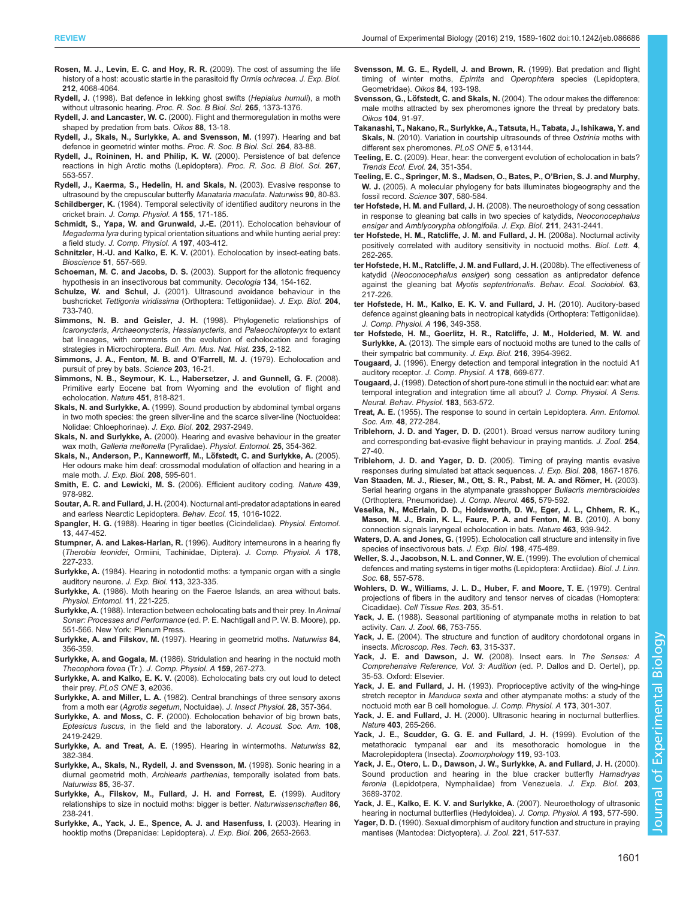- <span id="page-13-0"></span>[Rosen, M. J., Levin, E. C. and Hoy, R. R.](http://dx.doi.org/10.1242/jeb.033183) (2009). The cost of assuming the life [history of a host: acoustic startle in the parasitoid fly](http://dx.doi.org/10.1242/jeb.033183) Ormia ochracea. J. Exp. Biol. 212[, 4068-4064.](http://dx.doi.org/10.1242/jeb.033183)
- Rydell, J. [\(1998\). Bat defence in lekking ghost swifts \(](http://dx.doi.org/10.1098/rspb.1998.0444)Hepialus humuli), a moth [without ultrasonic hearing.](http://dx.doi.org/10.1098/rspb.1998.0444) Proc. R. Soc. B Biol. Sci. 265, 1373-1376.
- Rydell, J. and Lancaster, W. C. [\(2000\). Flight and thermoregulation in moths were](http://dx.doi.org/10.1034/j.1600-0706.2000.880103.x) [shaped by predation from bats.](http://dx.doi.org/10.1034/j.1600-0706.2000.880103.x) Oikos 88, 13-18.
- [Rydell, J., Skals, N., Surlykke, A. and Svensson, M.](http://dx.doi.org/10.1098/rspb.1997.0012) (1997). Hearing and bat [defence in geometrid winter moths.](http://dx.doi.org/10.1098/rspb.1997.0012) Proc. R. Soc. B Biol. Sci. 264, 83-88.
- [Rydell, J., Roininen, H. and Philip, K. W.](http://dx.doi.org/10.1098/rspb.2000.1036) (2000). Persistence of bat defence [reactions in high Arctic moths \(Lepidoptera\).](http://dx.doi.org/10.1098/rspb.2000.1036) Proc. R. Soc. B Biol. Sci. 267, [553-557.](http://dx.doi.org/10.1098/rspb.2000.1036)
- Rydell, J., Kaerma, S., Hedelin, H. and Skals, N. (2003). Evasive response to ultrasound by the crepuscular butterfly Manataria maculata. Naturwiss 90, 80-83.
- Schildberger, K. [\(1984\). Temporal selectivity of identified auditory neurons in the](http://dx.doi.org/10.1007/BF00612635) cricket brain. [J. Comp. Physiol. A](http://dx.doi.org/10.1007/BF00612635) 155, 171-185.
- [Schmidt, S., Yapa, W. and Grunwald, J.-E.](http://dx.doi.org/10.1007/s00359-010-0552-2) (2011). Echolocation behaviour of Megaderma lyra [during typical orientation situations and while hunting aerial prey:](http://dx.doi.org/10.1007/s00359-010-0552-2) a field study. [J. Comp. Physiol. A](http://dx.doi.org/10.1007/s00359-010-0552-2) 197, 403-412.
- Schnitzler, H.-U. and Kalko, E. K. V. [\(2001\). Echolocation by insect-eating bats.](http://dx.doi.org/10.1641/0006-3568(2001)051[0557:EBIEB]2.0.CO;2) [Bioscience](http://dx.doi.org/10.1641/0006-3568(2001)051[0557:EBIEB]2.0.CO;2) 51, 557-569.
- Schoeman, M. C. and Jacobs, D. S. [\(2003\). Support for the allotonic frequency](http://dx.doi.org/10.1007/s00442-002-1107-1) [hypothesis in an insectivorous bat community.](http://dx.doi.org/10.1007/s00442-002-1107-1) Oecologia 134, 154-162.
- Schulze, W. and Schul, J. (2001). Ultrasound avoidance behaviour in the bushcricket Tettigonia viridissima (Orthoptera: Tettigoniidae). J. Exp. Biol. 204, 733-740.
- Simmons, N. B. and Geisler, J. H. (1998). Phylogenetic relationships of Icaronycteris, Archaeonycteris, Hassianycteris, and Palaeochiropteryx to extant bat lineages, with comments on the evolution of echolocation and foraging strategies in Microchiroptera. Bull. Am. Mus. Nat. Hist. 235, 2-182.
- [Simmons, J. A., Fenton, M. B. and O](http://dx.doi.org/10.1126/science.758674)'Farrell, M. J. (1979). Echolocation and [pursuit of prey by bats.](http://dx.doi.org/10.1126/science.758674) Science 203, 16-21.
- [Simmons, N. B., Seymour, K. L., Habersetzer, J. and Gunnell, G. F.](http://dx.doi.org/10.1038/nature06549) (2008). [Primitive early Eocene bat from Wyoming and the evolution of flight and](http://dx.doi.org/10.1038/nature06549) [echolocation.](http://dx.doi.org/10.1038/nature06549) Nature 451, 818-821.
- Skals, N. and Surlykke, A. (1999). Sound production by abdominal tymbal organs in two moth species: the green silver-line and the scarce silver-line (Noctuoidea: Nolidae: Chloephorinae). J. Exp. Biol. 202, 2937-2949.
- Skals, N. and Surlykke, A. [\(2000\). Hearing and evasive behaviour in the greater](http://dx.doi.org/10.1046/j.1365-3032.2000.00204.x) wax moth, [Galleria mellonella](http://dx.doi.org/10.1046/j.1365-3032.2000.00204.x) (Pyralidae). Physiol. Entomol. 25, 354-362.
- Skals, N., Anderson, P., Kanneworff, M., Löfstedt, C. and Surlykke, A. (2005). [Her odours make him deaf: crossmodal modulation of olfaction and hearing in a](http://dx.doi.org/10.1242/jeb.01400) male moth. [J. Exp. Biol.](http://dx.doi.org/10.1242/jeb.01400) 208, 595-601.
- [Smith, E. C. and Lewicki, M. S.](http://dx.doi.org/10.1038/nature04485) (2006). Efficient auditory coding. Nature 439, [978-982.](http://dx.doi.org/10.1038/nature04485)
- Soutar, A. R. and Fullard, J. H. [\(2004\). Nocturnal anti-predator adaptations in eared](http://dx.doi.org/10.1093/beheco/arh103) [and earless Nearctic Lepidoptera.](http://dx.doi.org/10.1093/beheco/arh103) Behav. Ecol. 15, 1016-1022.
- Spangler, H. G. [\(1988\). Hearing in tiger beetles \(Cicindelidae\).](http://dx.doi.org/10.1111/j.1365-3032.1988.tb01129.x) Physiol. Entomol. 13[, 447-452.](http://dx.doi.org/10.1111/j.1365-3032.1988.tb01129.x)
- Stumpner, A. and Lakes-Harlan, R. [\(1996\). Auditory interneurons in a hearing fly](http://dx.doi.org/10.1007/BF00188164) (Therobia leonidei[, Ormiini, Tachinidae, Diptera\).](http://dx.doi.org/10.1007/BF00188164) J. Comp. Physiol. A 178, [227-233.](http://dx.doi.org/10.1007/BF00188164)
- Surlykke, A. (1984). Hearing in notodontid moths: a tympanic organ with a single auditory neurone. J. Exp. Biol. 113, 323-335.
- Surlykke, A. [\(1986\). Moth hearing on the Faeroe Islands, an area without bats.](http://dx.doi.org/10.1111/j.1365-3032.1986.tb00409.x) [Physiol. Entomol.](http://dx.doi.org/10.1111/j.1365-3032.1986.tb00409.x) 11, 221-225.
- Surlykke, A. (1988). Interaction between echolocating bats and their prey. In Animal Sonar: Processes and Performance (ed. P. E. Nachtigall and P. W. B. Moore), pp. 551-566. New York: Plenum Press.
- Surlykke, A. and Filskov, M. [\(1997\). Hearing in geometrid moths.](http://dx.doi.org/10.1007/s001140050410) Naturwiss 84, [356-359.](http://dx.doi.org/10.1007/s001140050410)
- Surlykke, A. and Gogala, M. [\(1986\). Stridulation and hearing in the noctuid moth](http://dx.doi.org/10.1007/BF00612309) Thecophora fovea (Tr.). [J. Comp. Physiol. A](http://dx.doi.org/10.1007/BF00612309) 159, 267-273.
- Surlykke, A. and Kalko, E. K. V. [\(2008\). Echolocating bats cry out loud to detect](http://dx.doi.org/10.1371/journal.pone.0002036) their prey. [PLoS ONE](http://dx.doi.org/10.1371/journal.pone.0002036) 3, e2036.
- Surlykke, A. and Miller, L. A. [\(1982\). Central branchings of three sensory axons](http://dx.doi.org/10.1016/0022-1910(82)90048-8) [from a moth ear \(](http://dx.doi.org/10.1016/0022-1910(82)90048-8)Agrotis segetum, Noctuidae). J. Insect Physiol. 28, 357-364.
- Surlykke, A. and Moss, C. F. [\(2000\). Echolocation behavior of big brown bats,](http://dx.doi.org/10.1121/1.1315295) Eptesicus fuscus[, in the field and the laboratory.](http://dx.doi.org/10.1121/1.1315295) J. Acoust. Soc. Am. 108, [2419-2429.](http://dx.doi.org/10.1121/1.1315295)
- Surlykke, A. and Treat, A. E. [\(1995\). Hearing in wintermoths.](http://dx.doi.org/10.1007/BF01134567) Naturwiss 82, [382-384.](http://dx.doi.org/10.1007/BF01134567)
- [Surlykke, A., Skals, N., Rydell, J. and Svensson, M.](http://dx.doi.org/10.1007/s001140050449) (1998). Sonic hearing in a diurnal geometrid moth, Archiearis parthenias[, temporally isolated from bats.](http://dx.doi.org/10.1007/s001140050449) [Naturwiss](http://dx.doi.org/10.1007/s001140050449) 85, 36-37.
- [Surlykke, A., Filskov, M., Fullard, J. H. and Forrest, E.](http://dx.doi.org/10.1007/s001140050607) (1999). Auditory [relationships to size in noctuid moths: bigger is better.](http://dx.doi.org/10.1007/s001140050607) Naturwissenschaften 86, [238-241.](http://dx.doi.org/10.1007/s001140050607)
- [Surlykke, A., Yack, J. E., Spence, A. J. and Hasenfuss, I.](http://dx.doi.org/10.1242/jeb.00469) (2003). Hearing in [hooktip moths \(Drepanidae: Lepidoptera\).](http://dx.doi.org/10.1242/jeb.00469) J. Exp. Biol. 206, 2653-2663.
- [Svensson, M. G. E., Rydell, J. and Brown, R.](http://dx.doi.org/10.2307/3546713) (1999). Bat predation and flight [timing of winter moths,](http://dx.doi.org/10.2307/3546713) Epirrita and Operophtera species (Lepidoptera, [Geometridae\).](http://dx.doi.org/10.2307/3546713) Oikos 84, 193-198.
- Svensson, G., Löfstedt, C. and Skals, N. [\(2004\). The odour makes the difference:](http://dx.doi.org/10.1111/j.0030-1299.2004.12517.x) [male moths attracted by sex pheromones ignore the threat by predatory bats.](http://dx.doi.org/10.1111/j.0030-1299.2004.12517.x) Oikos 104[, 91-97.](http://dx.doi.org/10.1111/j.0030-1299.2004.12517.x)
- [Takanashi, T., Nakano, R., Surlykke, A., Tatsuta, H., Tabata, J., Ishikawa, Y. and](http://dx.doi.org/10.1371/journal.pone.0013144) Skals, N. [\(2010\). Variation in courtship ultrasounds of three](http://dx.doi.org/10.1371/journal.pone.0013144) Ostrinia moths with [different sex pheromones.](http://dx.doi.org/10.1371/journal.pone.0013144) PLoS ONE 5, e13144.
- Teeling, E. C. [\(2009\). Hear, hear: the convergent evolution of echolocation in bats?](http://dx.doi.org/10.1016/j.tree.2009.02.012) [Trends Ecol. Evol.](http://dx.doi.org/10.1016/j.tree.2009.02.012) 24, 351-354.
- [Teeling, E. C., Springer, M. S., Madsen, O., Bates, P., O](http://dx.doi.org/10.1126/science.1105113)'Brien, S. J. and Murphy, W. J. [\(2005\). A molecular phylogeny for bats illuminates biogeography and the](http://dx.doi.org/10.1126/science.1105113) [fossil record.](http://dx.doi.org/10.1126/science.1105113) Science 307, 580-584.
- ter Hofstede, H. M. and Fullard, J. H. [\(2008\). The neuroethology of song cessation](http://dx.doi.org/10.1242/jeb.017285) [in response to gleaning bat calls in two species of katydids,](http://dx.doi.org/10.1242/jeb.017285) Neoconocephalus ensiger and [Amblycorypha oblongifolia](http://dx.doi.org/10.1242/jeb.017285). J. Exp. Biol. 211, 2431-2441.
- [ter Hofstede, H. M., Ratcliffe, J. M. and Fullard, J. H.](http://dx.doi.org/10.1098/rsbl.2007.0617) (2008a). Nocturnal activity [positively correlated with auditory sensitivity in noctuoid moths.](http://dx.doi.org/10.1098/rsbl.2007.0617) Biol. Lett. 4, [262-265.](http://dx.doi.org/10.1098/rsbl.2007.0617)
- [ter Hofstede, H. M., Ratcliffe, J. M. and Fullard, J. H.](http://dx.doi.org/10.1007/s00265-008-0652-y) (2008b). The effectiveness of katydid (Neoconocephalus ensiger[\) song cessation as antipredator defence](http://dx.doi.org/10.1007/s00265-008-0652-y) [against the gleaning bat](http://dx.doi.org/10.1007/s00265-008-0652-y) Myotis septentrionalis. Behav. Ecol. Sociobiol. 63, [217-226.](http://dx.doi.org/10.1007/s00265-008-0652-y)
- ter [Hofstede, H. M., Kalko, E. K. V. and Fullard, J. H.](http://dx.doi.org/10.1007/s00359-010-0518-4) (2010). Auditory-based [defence against gleaning bats in neotropical katydids \(Orthoptera: Tettigoniidae\).](http://dx.doi.org/10.1007/s00359-010-0518-4) [J. Comp. Physiol. A](http://dx.doi.org/10.1007/s00359-010-0518-4) 196, 349-358.
- [ter Hofstede, H. M., Goerlitz, H. R., Ratcliffe, J. M., Holderied, M. W. and](http://dx.doi.org/10.1242/jeb.093294) Surlykke, A. [\(2013\). The simple ears of noctuoid moths are tuned to the calls of](http://dx.doi.org/10.1242/jeb.093294) [their sympatric bat community.](http://dx.doi.org/10.1242/jeb.093294) J. Exp. Biol. 216, 3954-3962.
- Tougaard, J. [\(1996\). Energy detection and temporal integration in the noctuid A1](http://dx.doi.org/10.1007/bf00227379) auditory receptor. [J. Comp. Physiol. A](http://dx.doi.org/10.1007/bf00227379) 178, 669-677.
- Tougaard, J. [\(1998\). Detection of short pure-tone stimuli in the noctuid ear: what are](http://dx.doi.org/10.1007/s003590050282) [temporal integration and integration time all about?](http://dx.doi.org/10.1007/s003590050282) J. Comp. Physiol. A Sens. [Neural. Behav. Physiol.](http://dx.doi.org/10.1007/s003590050282) 183, 563-572.
- Treat, A. E. [\(1955\). The response to sound in certain Lepidoptera.](http://dx.doi.org/10.1093/aesa/48.4.272) Ann. Entomol. Soc. Am. 48[, 272-284.](http://dx.doi.org/10.1093/aesa/48.4.272)
- Triblehorn, J. D. and Yager, D. D. [\(2001\). Broad versus narrow auditory tuning](http://dx.doi.org/10.1017/S095283690100053X) [and corresponding bat-evasive flight behaviour in praying mantids.](http://dx.doi.org/10.1017/S095283690100053X) J. Zool. 254, [27-40.](http://dx.doi.org/10.1017/S095283690100053X)
- Triblehorn, J. D. and Yager, D. D. [\(2005\). Timing of praying mantis evasive](http://dx.doi.org/10.1242/jeb.01565) [responses during simulated bat attack sequences.](http://dx.doi.org/10.1242/jeb.01565) J. Exp. Biol. 208, 1867-1876.
- Van Staaden, M. J., Rieser, M., Ott, S. R., Pabst, M. A. and Römer, H. (2003). [Serial hearing organs in the atympanate grasshopper](http://dx.doi.org/10.1002/cne.10871) Bullacris membracioides [\(Orthoptera, Pneumoridae\).](http://dx.doi.org/10.1002/cne.10871) J. Comp. Neurol. 465, 579-592.
- [Veselka, N., McErlain, D. D., Holdsworth, D. W., Eger, J. L., Chhem, R. K.,](http://dx.doi.org/10.1038/nature08737) [Mason, M. J., Brain, K. L., Faure, P. A. and Fenton, M. B.](http://dx.doi.org/10.1038/nature08737) (2010). A bony [connection signals laryngeal echolocation in bats.](http://dx.doi.org/10.1038/nature08737) Nature 463, 939-942.
- Waters, D. A. and Jones, G. (1995). Echolocation call structure and intensity in five species of insectivorous bats. J. Exp. Biol. 198, 475-489.
- [Weller, S. J., Jacobson, N. L. and Conner, W. E.](http://dx.doi.org/10.1111/j.1095-8312.1999.tb01188.x) (1999). The evolution of chemical [defences and mating systems in tiger moths \(Lepidoptera: Arctiidae\).](http://dx.doi.org/10.1111/j.1095-8312.1999.tb01188.x) Biol. J. Linn. Soc. 68[, 557-578.](http://dx.doi.org/10.1111/j.1095-8312.1999.tb01188.x)
- [Wohlers, D. W., Williams, J. L. D., Huber, F. and Moore, T. E.](http://dx.doi.org/10.1007/BF00234327) (1979). Central [projections of fibers in the auditory and tensor nerves of cicadas \(Homoptera:](http://dx.doi.org/10.1007/BF00234327) Cicadidae). [Cell Tissue Res.](http://dx.doi.org/10.1007/BF00234327) 203, 35-51.
- Yack, J. E. [\(1988\). Seasonal partitioning of atympanate moths in relation to bat](http://dx.doi.org/10.1139/z88-111) activity. [Can. J. Zool.](http://dx.doi.org/10.1139/z88-111) 66, 753-755.
- Yack, J. E. [\(2004\). The structure and function of auditory chordotonal organs in](http://dx.doi.org/10.1002/jemt.20051) insects. [Microscop. Res. Tech.](http://dx.doi.org/10.1002/jemt.20051) 63, 315-337.
- Yack, J. E. and Dawson, J. W. (2008). Insect ears. In The Senses: A Comprehensive Reference, Vol. 3: Audition (ed. P. Dallos and D. Oertel), pp. 35-53. Oxford: Elsevier.
- Yack, J. E. and Fullard, J. H. [\(1993\). Proprioceptive activity of the wing-hinge](http://dx.doi.org/10.1007/BF00212694) stretch receptor in Manduca sexta [and other atympanate moths: a study of the](http://dx.doi.org/10.1007/BF00212694) [noctuoid moth ear B cell homologue.](http://dx.doi.org/10.1007/BF00212694) J. Comp. Physiol. A 173, 301-307.
- Yack, J. E. and Fullard, J. H. (2000). Ultrasonic hearing in nocturnal butterflies Nature 403[, 265-266.](http://dx.doi.org/10.1038/35002247)
- [Yack, J. E., Scudder, G. G. E. and Fullard, J. H.](http://dx.doi.org/10.1007/s004350050084) (1999). Evolution of the [metathoracic tympanal ear and its mesothoracic homologue in the](http://dx.doi.org/10.1007/s004350050084) [Macrolepidoptera \(Insecta\).](http://dx.doi.org/10.1007/s004350050084) Zoomorphology 119, 93-103.
- Yack, J. E., Otero, L. D., Dawson, J. W., Surlykke, A. and Fullard, J. H. (2000). Sound production and hearing in the blue cracker butterfly Hamadryas feronia (Lepidotpera, Nymphalidae) from Venezuela. J. Exp. Biol. 203, 3689-3702.
- [Yack, J. E., Kalko, E. K. V. and Surlykke, A.](http://dx.doi.org/10.1007/s00359-007-0213-2) (2007). Neuroethology of ultrasonic [hearing in nocturnal butterflies \(Hedyloidea\).](http://dx.doi.org/10.1007/s00359-007-0213-2) J. Comp. Physiol. A 193, 577-590.
- Yager, D. D. [\(1990\). Sexual dimorphism of auditory function and structure in praying](http://dx.doi.org/10.1111/j.1469-7998.1990.tb04017.x) [mantises \(Mantodea: Dictyoptera\).](http://dx.doi.org/10.1111/j.1469-7998.1990.tb04017.x) J. Zool. 221, 517-537.